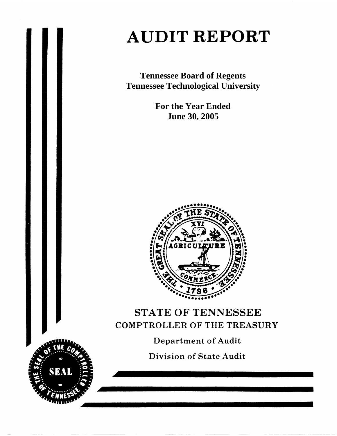# **AUDIT REPORT**

**Tennessee Board of Regents Tennessee Technological University** 

> **For the Year Ended June 30, 2005**



# STATE OF TENNESSEE **COMPTROLLER OF THE TREASURY**

**Department of Audit** 

**Division of State Audit** 

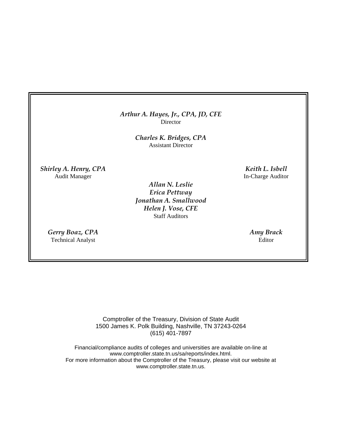#### *Arthur A. Hayes, Jr., CPA, JD, CFE* Director

*Charles K. Bridges, CPA*  Assistant Director

*Shirley A. Henry, CPA* Keith L. Isbell **Keith L. Isbell** Audit Manager **In-Charge Auditor** 

> *Allan N. Leslie Erica Pettway Jonathan A. Smallwood Helen J. Vose, CFE*  Staff Auditors

*Gerry Boaz, CPA Amy Brack*  Technical Analyst Editor

Comptroller of the Treasury, Division of State Audit 1500 James K. Polk Building, Nashville, TN 37243-0264 (615) 401-7897

Financial/compliance audits of colleges and universities are available on-line at www.comptroller.state.tn.us/sa/reports/index.html. For more information about the Comptroller of the Treasury, please visit our website at www.comptroller.state.tn.us.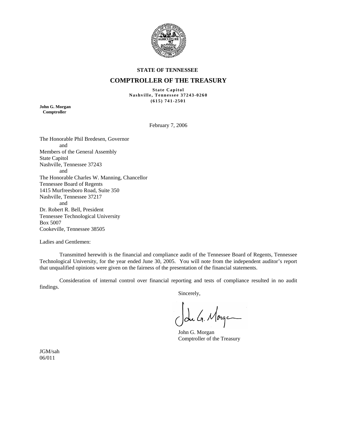

#### **STATE OF TENNESSEE**

#### **COMPTROLLER OF THE TREASURY**

**State Capitol Nashville, Tennessee 37243-0260 (615) 741-2501** 

**John G. Morgan Comptroller** 

February 7, 2006

The Honorable Phil Bredesen, Governor and Members of the General Assembly State Capitol Nashville, Tennessee 37243 and The Honorable Charles W. Manning, Chancellor Tennessee Board of Regents 1415 Murfreesboro Road, Suite 350 Nashville, Tennessee 37217 and Dr. Robert R. Bell, President Tennessee Technological University Box 5007 Cookeville, Tennessee 38505

Ladies and Gentlemen:

 Transmitted herewith is the financial and compliance audit of the Tennessee Board of Regents, Tennessee Technological University, for the year ended June 30, 2005. You will note from the independent auditor's report that unqualified opinions were given on the fairness of the presentation of the financial statements.

 Consideration of internal control over financial reporting and tests of compliance resulted in no audit findings.

Sincerely,

John G. Morge

 John G. Morgan Comptroller of the Treasury

JGM/sah 06/011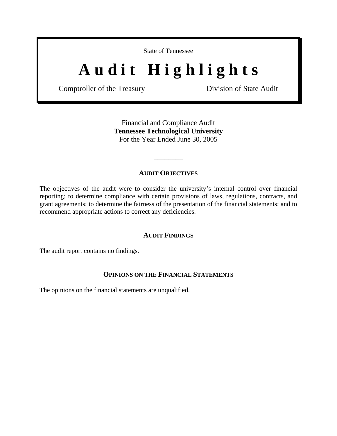State of Tennessee

# Audit Highlights

Comptroller of the Treasury Division of State Audit

Financial and Compliance Audit **Tennessee Technological University**  For the Year Ended June 30, 2005

### **AUDIT OBJECTIVES**

\_\_\_\_\_\_\_\_

The objectives of the audit were to consider the university's internal control over financial reporting; to determine compliance with certain provisions of laws, regulations, contracts, and grant agreements; to determine the fairness of the presentation of the financial statements; and to recommend appropriate actions to correct any deficiencies.

#### **AUDIT FINDINGS**

The audit report contains no findings.

#### **OPINIONS ON THE FINANCIAL STATEMENTS**

The opinions on the financial statements are unqualified.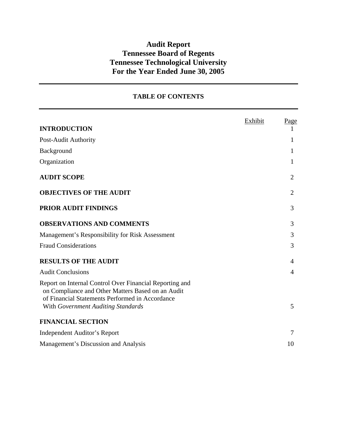# **Audit Report Tennessee Board of Regents Tennessee Technological University For the Year Ended June 30, 2005**

## **TABLE OF CONTENTS**

|                                                                                                                                                                                                       | Exhibit | <u>Page</u>    |
|-------------------------------------------------------------------------------------------------------------------------------------------------------------------------------------------------------|---------|----------------|
| <b>INTRODUCTION</b>                                                                                                                                                                                   |         |                |
| Post-Audit Authority                                                                                                                                                                                  |         | 1              |
| Background                                                                                                                                                                                            |         | 1              |
| Organization                                                                                                                                                                                          |         | 1              |
| <b>AUDIT SCOPE</b>                                                                                                                                                                                    |         | $\overline{2}$ |
| <b>OBJECTIVES OF THE AUDIT</b>                                                                                                                                                                        |         | $\overline{2}$ |
| <b>PRIOR AUDIT FINDINGS</b>                                                                                                                                                                           |         | 3              |
| <b>OBSERVATIONS AND COMMENTS</b>                                                                                                                                                                      |         | 3              |
| Management's Responsibility for Risk Assessment                                                                                                                                                       |         | 3              |
| <b>Fraud Considerations</b>                                                                                                                                                                           |         | 3              |
| <b>RESULTS OF THE AUDIT</b>                                                                                                                                                                           |         | 4              |
| <b>Audit Conclusions</b>                                                                                                                                                                              |         | 4              |
| Report on Internal Control Over Financial Reporting and<br>on Compliance and Other Matters Based on an Audit<br>of Financial Statements Performed in Accordance<br>With Government Auditing Standards |         | 5              |
| <b>FINANCIAL SECTION</b>                                                                                                                                                                              |         |                |
| <b>Independent Auditor's Report</b>                                                                                                                                                                   |         | 7              |
| Management's Discussion and Analysis                                                                                                                                                                  |         | 10             |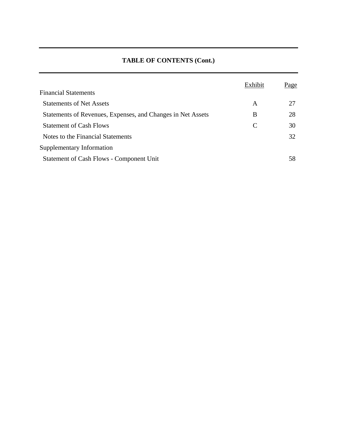## **TABLE OF CONTENTS (Cont.)**

|                                                             | Exhibit | <u>Page</u> |
|-------------------------------------------------------------|---------|-------------|
| <b>Financial Statements</b>                                 |         |             |
| <b>Statements of Net Assets</b>                             | A       | 27          |
| Statements of Revenues, Expenses, and Changes in Net Assets | B       | 28          |
| <b>Statement of Cash Flows</b>                              | C       | 30          |
| Notes to the Financial Statements                           |         | 32          |
| Supplementary Information                                   |         |             |
| <b>Statement of Cash Flows - Component Unit</b>             |         | 58          |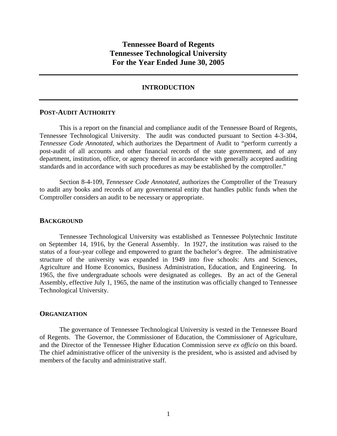## **Tennessee Board of Regents Tennessee Technological University For the Year Ended June 30, 2005**

#### **INTRODUCTION**

#### **POST-AUDIT AUTHORITY**

 This is a report on the financial and compliance audit of the Tennessee Board of Regents, Tennessee Technological University. The audit was conducted pursuant to Section 4-3-304, *Tennessee Code Annotated,* which authorizes the Department of Audit to "perform currently a post-audit of all accounts and other financial records of the state government, and of any department, institution, office, or agency thereof in accordance with generally accepted auditing standards and in accordance with such procedures as may be established by the comptroller."

 Section 8-4-109, *Tennessee Code Annotated,* authorizes the Comptroller of the Treasury to audit any books and records of any governmental entity that handles public funds when the Comptroller considers an audit to be necessary or appropriate.

#### **BACKGROUND**

Tennessee Technological University was established as Tennessee Polytechnic Institute on September 14, 1916, by the General Assembly. In 1927, the institution was raised to the status of a four-year college and empowered to grant the bachelor's degree. The administrative structure of the university was expanded in 1949 into five schools: Arts and Sciences, Agriculture and Home Economics, Business Administration, Education, and Engineering. In 1965, the five undergraduate schools were designated as colleges. By an act of the General Assembly, effective July 1, 1965, the name of the institution was officially changed to Tennessee Technological University.

#### **ORGANIZATION**

 The governance of Tennessee Technological University is vested in the Tennessee Board of Regents. The Governor, the Commissioner of Education, the Commissioner of Agriculture, and the Director of the Tennessee Higher Education Commission serve *ex officio* on this board. The chief administrative officer of the university is the president, who is assisted and advised by members of the faculty and administrative staff.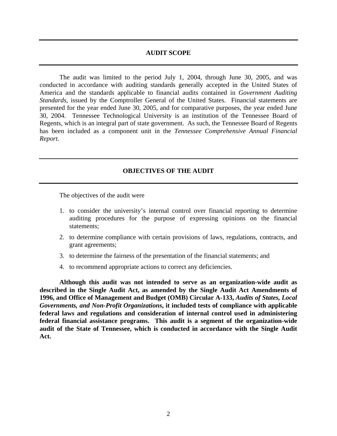#### **AUDIT SCOPE**

 The audit was limited to the period July 1, 2004, through June 30, 2005, and was conducted in accordance with auditing standards generally accepted in the United States of America and the standards applicable to financial audits contained in *Government Auditing Standards*, issued by the Comptroller General of the United States. Financial statements are presented for the year ended June 30, 2005, and for comparative purposes, the year ended June 30, 2004. Tennessee Technological University is an institution of the Tennessee Board of Regents, which is an integral part of state government. As such, the Tennessee Board of Regents has been included as a component unit in the *Tennessee Comprehensive Annual Financial Report.*

#### **OBJECTIVES OF THE AUDIT**

The objectives of the audit were

- 1. to consider the university's internal control over financial reporting to determine auditing procedures for the purpose of expressing opinions on the financial statements;
- 2. to determine compliance with certain provisions of laws, regulations, contracts, and grant agreements;
- 3. to determine the fairness of the presentation of the financial statements; and
- 4. to recommend appropriate actions to correct any deficiencies.

**Although this audit was not intended to serve as an organization-wide audit as described in the Single Audit Act, as amended by the Single Audit Act Amendments of 1996, and Office of Management and Budget (OMB) Circular A-133,** *Audits of States, Local Governments, and Non-Profit Organizations***, it included tests of compliance with applicable federal laws and regulations and consideration of internal control used in administering federal financial assistance programs. This audit is a segment of the organization-wide audit of the State of Tennessee, which is conducted in accordance with the Single Audit Act.**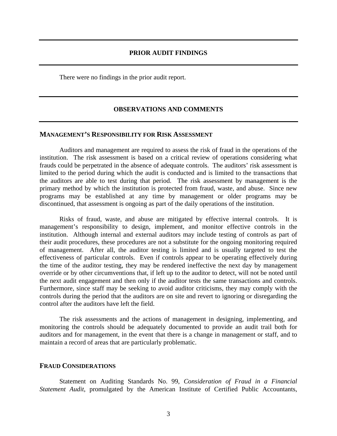There were no findings in the prior audit report.

## **OBSERVATIONS AND COMMENTS**

### **MANAGEMENT'S RESPONSIBILITY FOR RISK ASSESSMENT**

Auditors and management are required to assess the risk of fraud in the operations of the institution. The risk assessment is based on a critical review of operations considering what frauds could be perpetrated in the absence of adequate controls. The auditors' risk assessment is limited to the period during which the audit is conducted and is limited to the transactions that the auditors are able to test during that period. The risk assessment by management is the primary method by which the institution is protected from fraud, waste, and abuse. Since new programs may be established at any time by management or older programs may be discontinued, that assessment is ongoing as part of the daily operations of the institution.

Risks of fraud, waste, and abuse are mitigated by effective internal controls. It is management's responsibility to design, implement, and monitor effective controls in the institution. Although internal and external auditors may include testing of controls as part of their audit procedures, these procedures are not a substitute for the ongoing monitoring required of management. After all, the auditor testing is limited and is usually targeted to test the effectiveness of particular controls. Even if controls appear to be operating effectively during the time of the auditor testing, they may be rendered ineffective the next day by management override or by other circumventions that, if left up to the auditor to detect, will not be noted until the next audit engagement and then only if the auditor tests the same transactions and controls. Furthermore, since staff may be seeking to avoid auditor criticisms, they may comply with the controls during the period that the auditors are on site and revert to ignoring or disregarding the control after the auditors have left the field.

The risk assessments and the actions of management in designing, implementing, and monitoring the controls should be adequately documented to provide an audit trail both for auditors and for management, in the event that there is a change in management or staff, and to maintain a record of areas that are particularly problematic.

#### **FRAUD CONSIDERATIONS**

 Statement on Auditing Standards No. 99, *Consideration of Fraud in a Financial Statement Audit*, promulgated by the American Institute of Certified Public Accountants,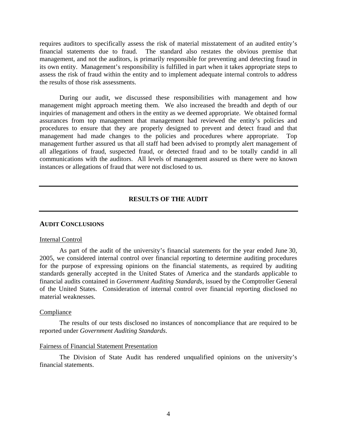requires auditors to specifically assess the risk of material misstatement of an audited entity's financial statements due to fraud. The standard also restates the obvious premise that management, and not the auditors, is primarily responsible for preventing and detecting fraud in its own entity. Management's responsibility is fulfilled in part when it takes appropriate steps to assess the risk of fraud within the entity and to implement adequate internal controls to address the results of those risk assessments.

 During our audit, we discussed these responsibilities with management and how management might approach meeting them. We also increased the breadth and depth of our inquiries of management and others in the entity as we deemed appropriate. We obtained formal assurances from top management that management had reviewed the entity's policies and procedures to ensure that they are properly designed to prevent and detect fraud and that management had made changes to the policies and procedures where appropriate. Top management further assured us that all staff had been advised to promptly alert management of all allegations of fraud, suspected fraud, or detected fraud and to be totally candid in all communications with the auditors. All levels of management assured us there were no known instances or allegations of fraud that were not disclosed to us.

#### **RESULTS OF THE AUDIT**

#### **AUDIT CONCLUSIONS**

#### Internal Control

 As part of the audit of the university's financial statements for the year ended June 30, 2005, we considered internal control over financial reporting to determine auditing procedures for the purpose of expressing opinions on the financial statements, as required by auditing standards generally accepted in the United States of America and the standards applicable to financial audits contained in *Government Auditing Standards*, issued by the Comptroller General of the United States. Consideration of internal control over financial reporting disclosed no material weaknesses.

#### Compliance

 The results of our tests disclosed no instances of noncompliance that are required to be reported under *Government Auditing Standards*.

#### Fairness of Financial Statement Presentation

 The Division of State Audit has rendered unqualified opinions on the university's financial statements.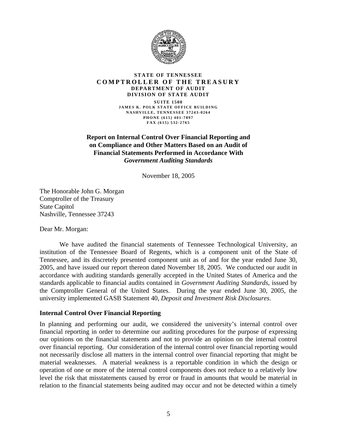

#### **STATE OF TENNESSEE COMPTROLLER OF THE TREASURY DEPARTMENT OF AUDIT DIVISION OF STATE AUDIT**

**SUITE 1500 JAMES K. POLK STATE OFFICE BUILDING NASHVILLE, TENNESSEE 37243-0264 PHONE (615) 401-7897 FAX (615) 532-2765** 

**Report on Internal Control Over Financial Reporting and on Compliance and Other Matters Based on an Audit of Financial Statements Performed in Accordance With**  *Government Auditing Standards* 

November 18, 2005

The Honorable John G. Morgan Comptroller of the Treasury State Capitol Nashville, Tennessee 37243

Dear Mr. Morgan:

 We have audited the financial statements of Tennessee Technological University, an institution of the Tennessee Board of Regents, which is a component unit of the State of Tennessee, and its discretely presented component unit as of and for the year ended June 30, 2005, and have issued our report thereon dated November 18, 2005. We conducted our audit in accordance with auditing standards generally accepted in the United States of America and the standards applicable to financial audits contained in *Government Auditing Standards*, issued by the Comptroller General of the United States. During the year ended June 30, 2005, the university implemented GASB Statement 40, *Deposit and Investment Risk Disclosures*.

#### **Internal Control Over Financial Reporting**

In planning and performing our audit, we considered the university's internal control over financial reporting in order to determine our auditing procedures for the purpose of expressing our opinions on the financial statements and not to provide an opinion on the internal control over financial reporting. Our consideration of the internal control over financial reporting would not necessarily disclose all matters in the internal control over financial reporting that might be material weaknesses. A material weakness is a reportable condition in which the design or operation of one or more of the internal control components does not reduce to a relatively low level the risk that misstatements caused by error or fraud in amounts that would be material in relation to the financial statements being audited may occur and not be detected within a timely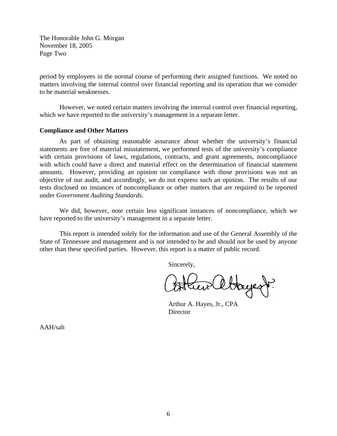The Honorable John G. Morgan November 18, 2005 Page Two

period by employees in the normal course of performing their assigned functions. We noted no matters involving the internal control over financial reporting and its operation that we consider to be material weaknesses.

However, we noted certain matters involving the internal control over financial reporting, which we have reported to the university's management in a separate letter.

#### **Compliance and Other Matters**

 As part of obtaining reasonable assurance about whether the university's financial statements are free of material misstatement, we performed tests of the university's compliance with certain provisions of laws, regulations, contracts, and grant agreements, noncompliance with which could have a direct and material effect on the determination of financial statement amounts. However, providing an opinion on compliance with those provisions was not an objective of our audit, and accordingly, we do not express such an opinion. The results of our tests disclosed no instances of noncompliance or other matters that are required to be reported under *Government Auditing Standards*.

 We did, however, note certain less significant instances of noncompliance, which we have reported to the university's management in a separate letter.

This report is intended solely for the information and use of the General Assembly of the State of Tennessee and management and is not intended to be and should not be used by anyone other than these specified parties. However, this report is a matter of public record.

Sincerely,

Stayert.

 Arthur A. Hayes, Jr., CPA **Director** 

AAH/sah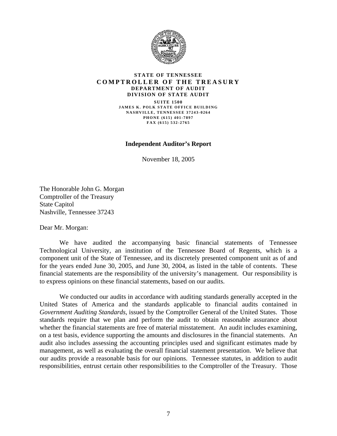

#### **STATE OF TENNESSEE COMPTROLLER OF THE TREASURY DEPARTMENT OF AUDIT DIVISION OF STATE AUDIT**

**SUITE 1500 JAMES K. POLK STATE OFFICE BUILDING NASHVILLE, TENNESSEE 37243-0264 PHONE (615) 401-7897 FAX (615) 532-2765** 

#### **Independent Auditor's Report**

November 18, 2005

The Honorable John G. Morgan Comptroller of the Treasury State Capitol Nashville, Tennessee 37243

Dear Mr. Morgan:

 We have audited the accompanying basic financial statements of Tennessee Technological University, an institution of the Tennessee Board of Regents, which is a component unit of the State of Tennessee, and its discretely presented component unit as of and for the years ended June 30, 2005, and June 30, 2004, as listed in the table of contents. These financial statements are the responsibility of the university's management. Our responsibility is to express opinions on these financial statements, based on our audits.

 We conducted our audits in accordance with auditing standards generally accepted in the United States of America and the standards applicable to financial audits contained in *Government Auditing Standards*, issued by the Comptroller General of the United States. Those standards require that we plan and perform the audit to obtain reasonable assurance about whether the financial statements are free of material misstatement. An audit includes examining, on a test basis, evidence supporting the amounts and disclosures in the financial statements. An audit also includes assessing the accounting principles used and significant estimates made by management, as well as evaluating the overall financial statement presentation. We believe that our audits provide a reasonable basis for our opinions. Tennessee statutes, in addition to audit responsibilities, entrust certain other responsibilities to the Comptroller of the Treasury. Those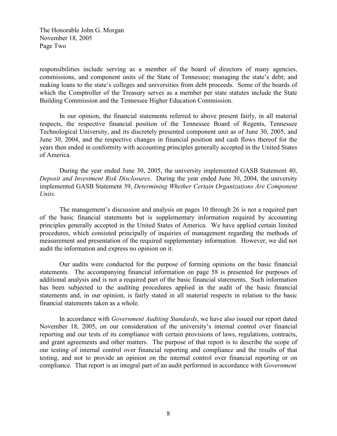The Honorable John G. Morgan November 18, 2005 Page Two

responsibilities include serving as a member of the board of directors of many agencies, commissions, and component units of the State of Tennessee; managing the state's debt; and making loans to the state's colleges and universities from debt proceeds. Some of the boards of which the Comptroller of the Treasury serves as a member per state statutes include the State Building Commission and the Tennessee Higher Education Commission.

 In our opinion, the financial statements referred to above present fairly, in all material respects, the respective financial position of the Tennessee Board of Regents, Tennessee Technological University, and its discretely presented component unit as of June 30, 2005, and June 30, 2004, and the respective changes in financial position and cash flows thereof for the years then ended in conformity with accounting principles generally accepted in the United States of America.

 During the year ended June 30, 2005, the university implemented GASB Statement 40, Deposit and Investment Risk Disclosures. During the year ended June 30, 2004, the university implemented GASB Statement 39, Determining Whether Certain Organizations Are Component Units.

 The management's discussion and analysis on pages 10 through 26 is not a required part of the basic financial statements but is supplementary information required by accounting principles generally accepted in the United States of America. We have applied certain limited procedures, which consisted principally of inquiries of management regarding the methods of measurement and presentation of the required supplementary information. However, we did not audit the information and express no opinion on it.

 Our audits were conducted for the purpose of forming opinions on the basic financial statements. The accompanying financial information on page 58 is presented for purposes of additional analysis and is not a required part of the basic financial statements. Such information has been subjected to the auditing procedures applied in the audit of the basic financial statements and, in our opinion, is fairly stated in all material respects in relation to the basic financial statements taken as a whole.

 In accordance with Government Auditing Standards, we have also issued our report dated November 18, 2005, on our consideration of the university's internal control over financial reporting and our tests of its compliance with certain provisions of laws, regulations, contracts, and grant agreements and other matters. The purpose of that report is to describe the scope of our testing of internal control over financial reporting and compliance and the results of that testing, and not to provide an opinion on the internal control over financial reporting or on compliance. That report is an integral part of an audit performed in accordance with Government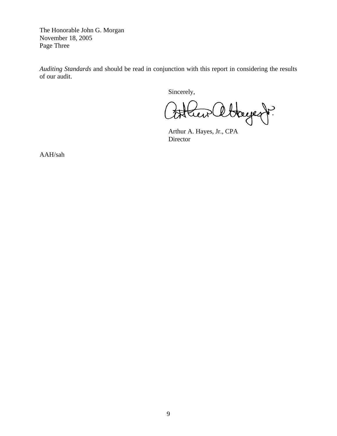The Honorable John G. Morgan November 18, 2005 Page Three

*Auditing Standards* and should be read in conjunction with this report in considering the results of our audit.

Sincerely,

Hayent? teir

 Arthur A. Hayes, Jr., CPA Director

AAH/sah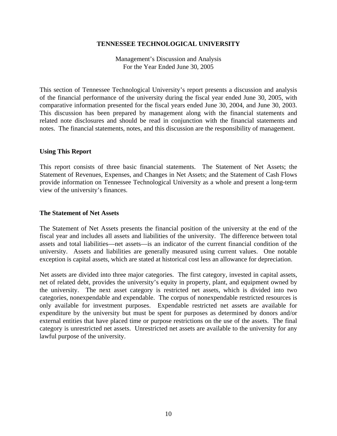### **TENNESSEE TECHNOLOGICAL UNIVERSITY**

Management's Discussion and Analysis For the Year Ended June 30, 2005

This section of Tennessee Technological University's report presents a discussion and analysis of the financial performance of the university during the fiscal year ended June 30, 2005, with comparative information presented for the fiscal years ended June 30, 2004, and June 30, 2003. This discussion has been prepared by management along with the financial statements and related note disclosures and should be read in conjunction with the financial statements and notes. The financial statements, notes, and this discussion are the responsibility of management.

#### **Using This Report**

This report consists of three basic financial statements. The Statement of Net Assets; the Statement of Revenues, Expenses, and Changes in Net Assets; and the Statement of Cash Flows provide information on Tennessee Technological University as a whole and present a long-term view of the university's finances.

#### **The Statement of Net Assets**

The Statement of Net Assets presents the financial position of the university at the end of the fiscal year and includes all assets and liabilities of the university. The difference between total assets and total liabilities—net assets—is an indicator of the current financial condition of the university. Assets and liabilities are generally measured using current values. One notable exception is capital assets, which are stated at historical cost less an allowance for depreciation.

Net assets are divided into three major categories. The first category, invested in capital assets, net of related debt, provides the university's equity in property, plant, and equipment owned by the university. The next asset category is restricted net assets, which is divided into two categories, nonexpendable and expendable. The corpus of nonexpendable restricted resources is only available for investment purposes. Expendable restricted net assets are available for expenditure by the university but must be spent for purposes as determined by donors and/or external entities that have placed time or purpose restrictions on the use of the assets. The final category is unrestricted net assets. Unrestricted net assets are available to the university for any lawful purpose of the university.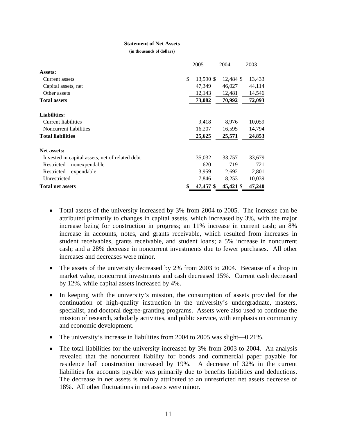#### **Statement of Net Assets**

**(in thousands of dollars)** 

|                                                 | 2005 |           | 2004      | 2003   |  |
|-------------------------------------------------|------|-----------|-----------|--------|--|
| Assets:                                         |      |           |           |        |  |
| Current assets                                  | \$   | 13,590 \$ | 12,484 \$ | 13,433 |  |
| Capital assets, net                             |      | 47,349    | 46,027    | 44,114 |  |
| Other assets                                    |      | 12,143    | 12,481    | 14,546 |  |
| <b>Total assets</b>                             |      | 73,082    | 70,992    | 72,093 |  |
| <b>Liabilities:</b>                             |      |           |           |        |  |
| Current liabilities                             |      | 9,418     | 8,976     | 10,059 |  |
| Noncurrent liabilities                          |      | 16,207    | 16,595    | 14,794 |  |
| <b>Total liabilities</b>                        |      | 25,625    | 25,571    | 24,853 |  |
| Net assets:                                     |      |           |           |        |  |
| Invested in capital assets, net of related debt |      | 35,032    | 33,757    | 33,679 |  |
| Restricted – nonexpendable                      |      | 620       | 719       | 721    |  |
| Restricted – expendable                         |      | 3,959     | 2,692     | 2,801  |  |
| Unrestricted                                    |      | 7,846     | 8,253     | 10,039 |  |
| <b>Total net assets</b>                         |      | 47,457 \$ | 45,421 \$ | 47,240 |  |

- Total assets of the university increased by 3% from 2004 to 2005. The increase can be attributed primarily to changes in capital assets, which increased by 3%, with the major increase being for construction in progress; an 11% increase in current cash; an 8% increase in accounts, notes, and grants receivable, which resulted from increases in student receivables, grants receivable, and student loans; a 5% increase in noncurrent cash; and a 28% decrease in noncurrent investments due to fewer purchases. All other increases and decreases were minor.
- The assets of the university decreased by 2% from 2003 to 2004. Because of a drop in market value, noncurrent investments and cash decreased 15%. Current cash decreased by 12%, while capital assets increased by 4%.
- In keeping with the university's mission, the consumption of assets provided for the continuation of high-quality instruction in the university's undergraduate, masters, specialist, and doctoral degree-granting programs. Assets were also used to continue the mission of research, scholarly activities, and public service, with emphasis on community and economic development.
- The university's increase in liabilities from 2004 to 2005 was slight—0.21%.
- The total liabilities for the university increased by 3% from 2003 to 2004. An analysis revealed that the noncurrent liability for bonds and commercial paper payable for residence hall construction increased by 19%. A decrease of 32% in the current liabilities for accounts payable was primarily due to benefits liabilities and deductions. The decrease in net assets is mainly attributed to an unrestricted net assets decrease of 18%. All other fluctuations in net assets were minor.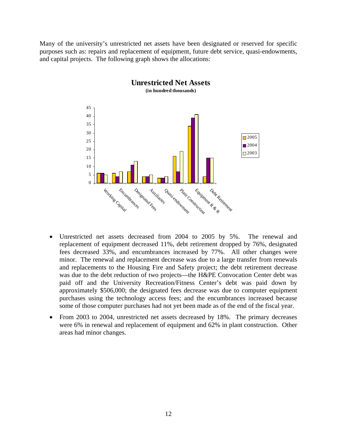Many of the university's unrestricted net assets have been designated or reserved for specific purposes such as: repairs and replacement of equipment, future debt service, quasi-endowments, and capital projects. The following graph shows the allocations:



- Unrestricted net assets decreased from 2004 to 2005 by 5%. The renewal and replacement of equipment decreased 11%, debt retirement dropped by 76%, designated fees decreased 33%, and encumbrances increased by 77%. All other changes were minor. The renewal and replacement decrease was due to a large transfer from renewals and replacements to the Housing Fire and Safety project; the debt retirement decrease was due to the debt reduction of two projects—the H&PE Convocation Center debt was paid off and the University Recreation/Fitness Center's debt was paid down by approximately \$506,000; the designated fees decrease was due to computer equipment purchases using the technology access fees; and the encumbrances increased because some of those computer purchases had not yet been made as of the end of the fiscal year.
- From 2003 to 2004, unrestricted net assets decreased by 18%. The primary decreases were 6% in renewal and replacement of equipment and 62% in plant construction. Other areas had minor changes.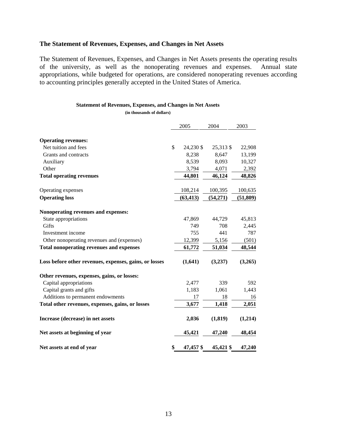## **The Statement of Revenues, Expenses, and Changes in Net Assets**

The Statement of Revenues, Expenses, and Changes in Net Assets presents the operating results of the university, as well as the nonoperating revenues and expenses. Annual state appropriations, while budgeted for operations, are considered nonoperating revenues according to accounting principles generally accepted in the United States of America.

#### **Statement of Revenues, Expenses, and Changes in Net Assets**

**(in thousands of dollars)** 

|                                                        | 2005            | 2004      | 2003      |
|--------------------------------------------------------|-----------------|-----------|-----------|
|                                                        |                 |           |           |
| <b>Operating revenues:</b>                             |                 |           |           |
| Net tuition and fees                                   | \$<br>24,230 \$ | 25,313 \$ | 22,908    |
| Grants and contracts                                   | 8,238           | 8,647     | 13,199    |
| Auxiliary                                              | 8,539           | 8,093     | 10,327    |
| Other                                                  | 3,794           | 4,071     | 2,392     |
| <b>Total operating revenues</b>                        | 44,801          | 46,124    | 48,826    |
| Operating expenses                                     | 108,214         | 100,395   | 100,635   |
| <b>Operating loss</b>                                  | (63, 413)       | (54,271)  | (51, 809) |
| Nonoperating revenues and expenses:                    |                 |           |           |
| State appropriations                                   | 47,869          | 44,729    | 45,813    |
| Gifts                                                  | 749             | 708       | 2,445     |
| Investment income                                      | 755             | 441       | 787       |
| Other nonoperating revenues and (expenses)             | 12,399          | 5,156     | (501)     |
| <b>Total nonoperating revenues and expenses</b>        | 61,772          | 51,034    | 48,544    |
| Loss before other revenues, expenses, gains, or losses | (1,641)         | (3,237)   | (3,265)   |
| Other revenues, expenses, gains, or losses:            |                 |           |           |
| Capital appropriations                                 | 2,477           | 339       | 592       |
| Capital grants and gifts                               | 1,183           | 1,061     | 1,443     |
| Additions to permanent endowments                      | 17              | 18        | 16        |
| Total other revenues, expenses, gains, or losses       | 3,677           | 1,418     | 2,051     |
| Increase (decrease) in net assets                      | 2,036           | (1, 819)  | (1,214)   |
| Net assets at beginning of year                        | 45,421          | 47,240    | 48,454    |
| Net assets at end of year                              | \$<br>47,457 \$ | 45,421 \$ | 47,240    |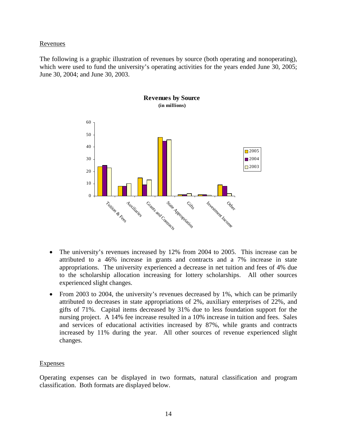### Revenues

The following is a graphic illustration of revenues by source (both operating and nonoperating), which were used to fund the university's operating activities for the years ended June 30, 2005; June 30, 2004; and June 30, 2003.



- The university's revenues increased by 12% from 2004 to 2005. This increase can be attributed to a 46% increase in grants and contracts and a 7% increase in state appropriations. The university experienced a decrease in net tuition and fees of 4% due to the scholarship allocation increasing for lottery scholarships. All other sources experienced slight changes.
- From 2003 to 2004, the university's revenues decreased by 1%, which can be primarily attributed to decreases in state appropriations of 2%, auxiliary enterprises of 22%, and gifts of 71%. Capital items decreased by 31% due to less foundation support for the nursing project. A 14% fee increase resulted in a 10% increase in tuition and fees. Sales and services of educational activities increased by 87%, while grants and contracts increased by 11% during the year. All other sources of revenue experienced slight changes.

#### Expenses

Operating expenses can be displayed in two formats, natural classification and program classification. Both formats are displayed below.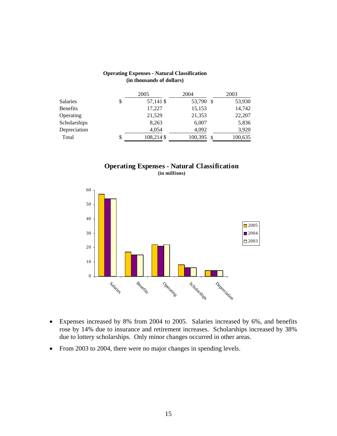|                 | 2005             | 2004      |     | 2003    |
|-----------------|------------------|-----------|-----|---------|
| <b>Salaries</b> | \$<br>57,141 \$  | 53,790 \$ |     | 53,930  |
| <b>Benefits</b> | 17,227           | 15,153    |     | 14,742  |
| Operating       | 21,529           | 21,353    |     | 22,207  |
| Scholarships    | 8,263            | 6,007     |     | 5,836   |
| Depreciation    | 4,054            | 4,092     |     | 3,920   |
| Total           | \$<br>108,214 \$ | 100,395   | -\$ | 100,635 |

#### **Operating Expenses - Natural Classification (in thousands of dollars)**





- Expenses increased by 8% from 2004 to 2005. Salaries increased by 6%, and benefits rose by 14% due to insurance and retirement increases. Scholarships increased by 38% due to lottery scholarships. Only minor changes occurred in other areas.
- From 2003 to 2004, there were no major changes in spending levels.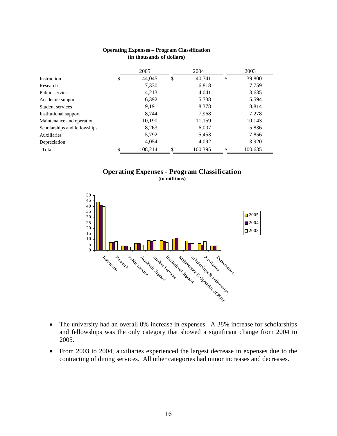|                              | 2004<br>2005 |    |         | 2003 |         |
|------------------------------|--------------|----|---------|------|---------|
| Instruction                  | \$<br>44,045 | \$ | 40,741  | \$   | 39,800  |
| Research                     | 7,330        |    | 6,818   |      | 7,759   |
| Public service               | 4,213        |    | 4.041   |      | 3,635   |
| Academic support             | 6,392        |    | 5,738   |      | 5,594   |
| Student services             | 9,191        |    | 8,378   |      | 8,814   |
| Institutional support        | 8.744        |    | 7.968   |      | 7,278   |
| Maintenance and operation    | 10,190       |    | 11,159  |      | 10,143  |
| Scholarships and fellowships | 8,263        |    | 6,007   |      | 5,836   |
| Auxiliaries                  | 5,792        |    | 5,453   |      | 7,856   |
| Depreciation                 | 4,054        |    | 4,092   |      | 3,920   |
| Total                        | 108,214      | \$ | 100,395 | S    | 100,635 |

#### **Operating Expenses – Program Classification (in thousands of dollars)**

#### **Operating Expenses - Program Classification (in millions)**



- The university had an overall 8% increase in expenses. A 38% increase for scholarships and fellowships was the only category that showed a significant change from 2004 to 2005.
- From 2003 to 2004, auxiliaries experienced the largest decrease in expenses due to the contracting of dining services. All other categories had minor increases and decreases.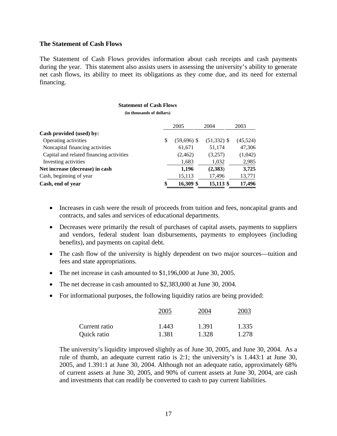#### **The Statement of Cash Flows**

The Statement of Cash Flows provides information about cash receipts and cash payments during the year. This statement also assists users in assessing the university's ability to generate net cash flows, its ability to meet its obligations as they come due, and its need for external financing.

#### **Statement of Cash Flows**

**(in thousands of dollars)** 

|                                          |   | 2005          | 2004          | 2003     |
|------------------------------------------|---|---------------|---------------|----------|
| Cash provided (used) by:                 |   |               |               |          |
| Operating activities                     | S | $(59,696)$ \$ | $(51,332)$ \$ | (45,524) |
| Noncapital financing activities          |   | 61,671        | 51,174        | 47,306   |
| Capital and related financing activities |   | (2, 462)      | (3,257)       | (1,042)  |
| Investing activities                     |   | 1,683         | 1,032         | 2,985    |
| Net increase (decrease) in cash          |   | 1,196         | (2,383)       | 3,725    |
| Cash, beginning of year                  |   | 15,113        | 17,496        | 13,771   |
| Cash, end of year                        |   | 16,309 \$     | 15,113 \$     | 17,496   |

- Increases in cash were the result of proceeds from tuition and fees, noncapital grants and contracts, and sales and services of educational departments.
- Decreases were primarily the result of purchases of capital assets, payments to suppliers and vendors, federal student loan disbursements, payments to employees (including benefits), and payments on capital debt.
- The cash flow of the university is highly dependent on two major sources—tuition and fees and state appropriations.
- The net increase in cash amounted to \$1,196,000 at June 30, 2005.
- The net decrease in cash amounted to \$2,383,000 at June 30, 2004.
- For informational purposes, the following liquidity ratios are being provided:

|               | 2005  | 2004  | 2003  |
|---------------|-------|-------|-------|
| Current ratio | 1.443 | 1.391 | 1.335 |
| Quick ratio   | 1.381 | 1.328 | 1.278 |

The university's liquidity improved slightly as of June 30, 2005, and June 30, 2004. As a rule of thumb, an adequate current ratio is 2:1; the university's is 1.443:1 at June 30, 2005, and 1.391:1 at June 30, 2004. Although not an adequate ratio, approximately 68% of current assets at June 30, 2005, and 90% of current assets at June 30, 2004, are cash and investments that can readily be converted to cash to pay current liabilities.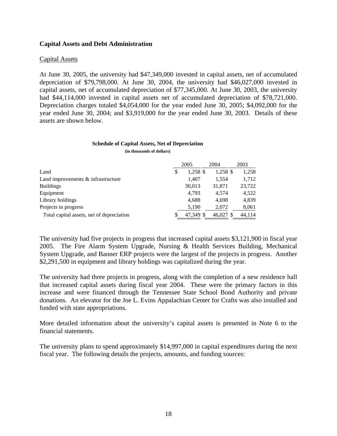#### **Capital Assets and Debt Administration**

#### Capital Assets

At June 30, 2005, the university had \$47,349,000 invested in capital assets, net of accumulated depreciation of \$79,798,000. At June 30, 2004, the university had \$46,027,000 invested in capital assets, net of accumulated depreciation of \$77,345,000. At June 30, 2003, the university had \$44,114,000 invested in capital assets net of accumulated depreciation of \$78,721,000. Depreciation charges totaled \$4,054,000 for the year ended June 30, 2005; \$4,092,000 for the year ended June 30, 2004; and \$3,919,000 for the year ended June 30, 2003. Details of these assets are shown below.

#### **Schedule of Capital Assets, Net of Depreciation**

**(in thousands of dollars)** 

|                                           |   | 2005      | 2004      | 2003   |
|-------------------------------------------|---|-----------|-----------|--------|
| Land                                      | S | 1,258 \$  | 1,258 \$  | 1,258  |
| Land improvements & infrastructure        |   | 1,407     | 1.554     | 1,712  |
| <b>Buildings</b>                          |   | 30,013    | 31,871    | 23,722 |
| Equipment                                 |   | 4,793     | 4.574     | 4.522  |
| Library holdings                          |   | 4.688     | 4,698     | 4.839  |
| Projects in progress                      |   | 5,190     | 2,072     | 8,061  |
| Total capital assets, net of depreciation |   | 47.349 \$ | 46.027 \$ | 44.114 |

The university had five projects in progress that increased capital assets \$3,121,900 in fiscal year 2005. The Fire Alarm System Upgrade, Nursing & Health Services Building, Mechanical System Upgrade, and Banner ERP projects were the largest of the projects in progress. Another \$2,291,500 in equipment and library holdings was capitalized during the year.

The university had three projects in progress, along with the completion of a new residence hall that increased capital assets during fiscal year 2004. These were the primary factors in this increase and were financed through the Tennessee State School Bond Authority and private donations. An elevator for the Joe L. Evins Appalachian Center for Crafts was also installed and funded with state appropriations.

More detailed information about the university's capital assets is presented in Note 6 to the financial statements.

The university plans to spend approximately \$14,997,000 in capital expenditures during the next fiscal year. The following details the projects, amounts, and funding sources: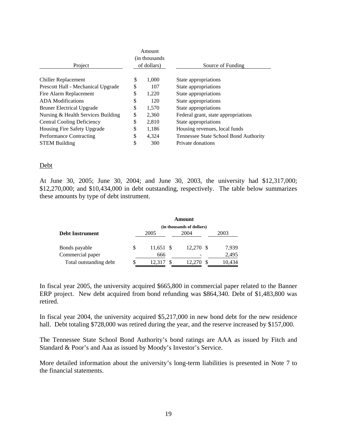|                                    |             | Amount<br>(in thousands) |                                       |
|------------------------------------|-------------|--------------------------|---------------------------------------|
| Project                            | of dollars) |                          | Source of Funding                     |
| <b>Chiller Replacement</b>         | \$          | 1,000                    | State appropriations                  |
| Prescott Hall - Mechanical Upgrade | \$          | 107                      | State appropriations                  |
| Fire Alarm Replacement             | \$          | 1,220                    | State appropriations                  |
| <b>ADA</b> Modifications           | \$          | 120                      | State appropriations                  |
| <b>Bruner Electrical Upgrade</b>   | \$          | 1,570                    | State appropriations                  |
| Nursing & Health Services Building | \$          | 2,360                    | Federal grant, state appropriations   |
| <b>Central Cooling Deficiency</b>  | \$          | 2,810                    | State appropriations                  |
| Housing Fire Safety Upgrade        | \$          | 1,186                    | Housing revenues, local funds         |
| Performance Contracting            | \$          | 4.324                    | Tennessee State School Bond Authority |
| <b>STEM Building</b>               | \$          | 300                      | Private donations                     |

#### Debt

At June 30, 2005; June 30, 2004; and June 30, 2003, the university had \$12,317,000; \$12,270,000; and \$10,434,000 in debt outstanding, respectively. The table below summarizes these amounts by type of debt instrument.

|                        | Amount |                           |  |           |  |        |  |  |  |
|------------------------|--------|---------------------------|--|-----------|--|--------|--|--|--|
|                        |        | (in thousands of dollars) |  |           |  |        |  |  |  |
| <b>Debt Instrument</b> |        | 2005                      |  | 2004      |  | 2003   |  |  |  |
| Bonds payable          | S      | 11,651 \$                 |  | 12,270 \$ |  | 7,939  |  |  |  |
| Commercial paper       |        | 666                       |  |           |  | 2,495  |  |  |  |
| Total outstanding debt |        | 12.317                    |  | 12.270    |  | 10,434 |  |  |  |

In fiscal year 2005, the university acquired \$665,800 in commercial paper related to the Banner ERP project. New debt acquired from bond refunding was \$864,340. Debt of \$1,483,800 was retired.

In fiscal year 2004, the university acquired \$5,217,000 in new bond debt for the new residence hall. Debt totaling \$728,000 was retired during the year, and the reserve increased by \$157,000.

The Tennessee State School Bond Authority's bond ratings are AAA as issued by Fitch and Standard & Poor's and Aaa as issued by Moody's Investor's Service.

More detailed information about the university's long-term liabilities is presented in Note 7 to the financial statements.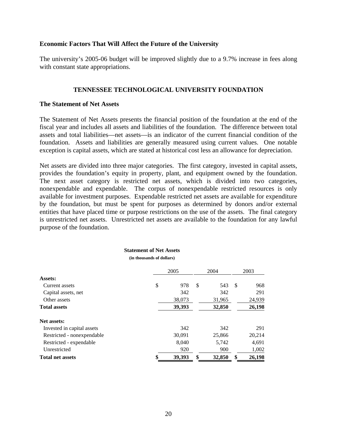#### **Economic Factors That Will Affect the Future of the University**

The university's 2005-06 budget will be improved slightly due to a 9.7% increase in fees along with constant state appropriations.

#### **TENNESSEE TECHNOLOGICAL UNIVERSITY FOUNDATION**

#### **The Statement of Net Assets**

The Statement of Net Assets presents the financial position of the foundation at the end of the fiscal year and includes all assets and liabilities of the foundation. The difference between total assets and total liabilities—net assets—is an indicator of the current financial condition of the foundation. Assets and liabilities are generally measured using current values. One notable exception is capital assets, which are stated at historical cost less an allowance for depreciation.

Net assets are divided into three major categories. The first category, invested in capital assets, provides the foundation's equity in property, plant, and equipment owned by the foundation. The next asset category is restricted net assets, which is divided into two categories, nonexpendable and expendable. The corpus of nonexpendable restricted resources is only available for investment purposes. Expendable restricted net assets are available for expenditure by the foundation, but must be spent for purposes as determined by donors and/or external entities that have placed time or purpose restrictions on the use of the assets. The final category is unrestricted net assets. Unrestricted net assets are available to the foundation for any lawful purpose of the foundation.

|                            | этатешені от тусі дзясія<br>(in thousands of dollars) |        |              |    |        |
|----------------------------|-------------------------------------------------------|--------|--------------|----|--------|
|                            |                                                       | 2005   | 2004         |    | 2003   |
| Assets:                    |                                                       |        |              |    |        |
| Current assets             | \$                                                    | 978    | \$<br>543    | -S | 968    |
| Capital assets, net        |                                                       | 342    | 342          |    | 291    |
| Other assets               |                                                       | 38,073 | 31,965       |    | 24,939 |
| <b>Total assets</b>        |                                                       | 39,393 | 32,850       |    | 26,198 |
| Net assets:                |                                                       |        |              |    |        |
| Invested in capital assets |                                                       | 342    | 342          |    | 291    |
| Restricted - nonexpendable |                                                       | 30,091 | 25,866       |    | 20,214 |
| Restricted - expendable    |                                                       | 8,040  | 5,742        |    | 4,691  |
| Unrestricted               |                                                       | 920    | 900          |    | 1,002  |
| <b>Total net assets</b>    |                                                       | 39,393 | \$<br>32,850 | \$ | 26,198 |

**Statement of Net Assets**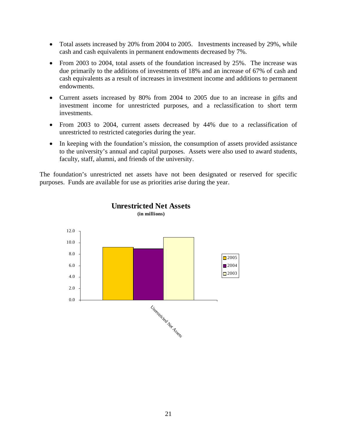- Total assets increased by 20% from 2004 to 2005. Investments increased by 29%, while cash and cash equivalents in permanent endowments decreased by 7%.
- From 2003 to 2004, total assets of the foundation increased by 25%. The increase was due primarily to the additions of investments of 18% and an increase of 67% of cash and cash equivalents as a result of increases in investment income and additions to permanent endowments.
- Current assets increased by 80% from 2004 to 2005 due to an increase in gifts and investment income for unrestricted purposes, and a reclassification to short term investments.
- From 2003 to 2004, current assets decreased by 44% due to a reclassification of unrestricted to restricted categories during the year.
- In keeping with the foundation's mission, the consumption of assets provided assistance to the university's annual and capital purposes. Assets were also used to award students, faculty, staff, alumni, and friends of the university.

The foundation's unrestricted net assets have not been designated or reserved for specific purposes. Funds are available for use as priorities arise during the year.



### **Unrestricted Net Assets (in millions)**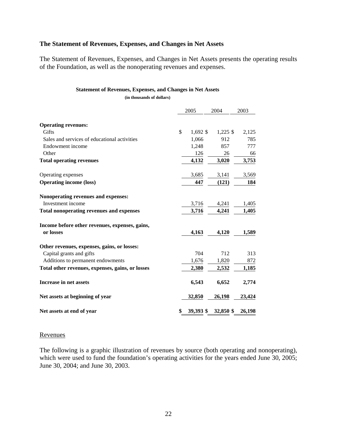## **The Statement of Revenues, Expenses, and Changes in Net Assets**

The Statement of Revenues, Expenses, and Changes in Net Assets presents the operating results of the Foundation, as well as the nonoperating revenues and expenses.

#### **Statement of Revenues, Expenses, and Changes in Net Assets**

**(in thousands of dollars)** 

|                                                  | 2005            | 2004       | 2003   |
|--------------------------------------------------|-----------------|------------|--------|
| <b>Operating revenues:</b>                       |                 |            |        |
| <b>Gifts</b>                                     | \$<br>1,692 \$  | $1,225$ \$ | 2,125  |
| Sales and services of educational activities     | 1,066           | 912        | 785    |
| Endowment income                                 | 1,248           | 857        | 777    |
| Other                                            | 126             | 26         | 66     |
| <b>Total operating revenues</b>                  | 4,132           | 3,020      | 3,753  |
| Operating expenses                               | 3,685           | 3,141      | 3,569  |
| <b>Operating income (loss)</b>                   | 447             | (121)      | 184    |
| Nonoperating revenues and expenses:              |                 |            |        |
| Investment income                                | 3,716           | 4,241      | 1,405  |
| <b>Total nonoperating revenues and expenses</b>  | 3,716           | 4,241      | 1,405  |
| Income before other revenues, expenses, gains,   |                 |            |        |
| or losses                                        | 4,163           | 4,120      | 1,589  |
| Other revenues, expenses, gains, or losses:      |                 |            |        |
| Capital grants and gifts                         | 704             | 712        | 313    |
| Additions to permanent endowments                | 1,676           | 1,820      | 872    |
| Total other revenues, expenses, gains, or losses | 2,380           | 2,532      | 1,185  |
| <b>Increase in net assets</b>                    | 6,543           | 6,652      | 2,774  |
| Net assets at beginning of year                  | 32,850          | 26,198     | 23,424 |
| Net assets at end of year                        | \$<br>39,393 \$ | 32,850 \$  | 26,198 |

#### Revenues

The following is a graphic illustration of revenues by source (both operating and nonoperating), which were used to fund the foundation's operating activities for the years ended June 30, 2005; June 30, 2004; and June 30, 2003.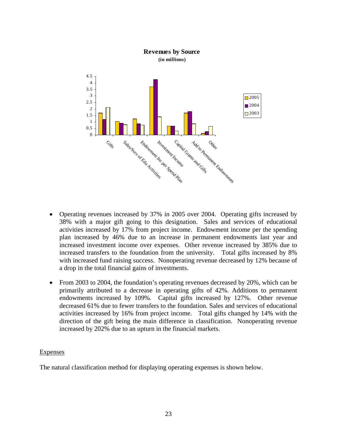

- Operating revenues increased by 37% in 2005 over 2004. Operating gifts increased by 38% with a major gift going to this designation. Sales and services of educational activities increased by 17% from project income. Endowment income per the spending plan increased by 46% due to an increase in permanent endowments last year and increased investment income over expenses. Other revenue increased by 385% due to increased transfers to the foundation from the university. Total gifts increased by 8% with increased fund raising success. Nonoperating revenue decreased by 12% because of a drop in the total financial gains of investments.
- From 2003 to 2004, the foundation's operating revenues decreased by 20%, which can be primarily attributed to a decrease in operating gifts of 42%. Additions to permanent endowments increased by 109%. Capital gifts increased by 127%. Other revenue decreased 61% due to fewer transfers to the foundation. Sales and services of educational activities increased by 16% from project income. Total gifts changed by 14% with the direction of the gift being the main difference in classification. Nonoperating revenue increased by 202% due to an upturn in the financial markets.

#### **Expenses**

The natural classification method for displaying operating expenses is shown below.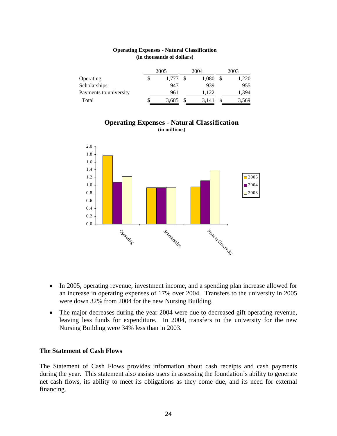|                        | 2005        | 2004  | 2003  |
|------------------------|-------------|-------|-------|
| Operating              | \$<br>1.777 | 1,080 | 1,220 |
| Scholarships           | 947         | 939   | 955   |
| Payments to university | 961         | 1.122 | 1,394 |
| Total                  | \$<br>3,685 | 3.141 | 3,569 |

#### **Operating Expenses - Natural Classification (in thousands of dollars)**

### **Operating Expenses - Natural Classification (in millions)**



- In 2005, operating revenue, investment income, and a spending plan increase allowed for an increase in operating expenses of 17% over 2004. Transfers to the university in 2005 were down 32% from 2004 for the new Nursing Building.
- The major decreases during the year 2004 were due to decreased gift operating revenue, leaving less funds for expenditure. In 2004, transfers to the university for the new Nursing Building were 34% less than in 2003.

#### **The Statement of Cash Flows**

The Statement of Cash Flows provides information about cash receipts and cash payments during the year. This statement also assists users in assessing the foundation's ability to generate net cash flows, its ability to meet its obligations as they come due, and its need for external financing.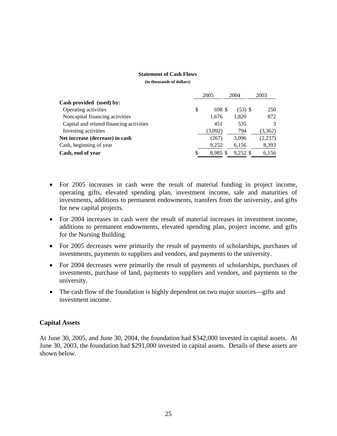#### **Statement of Cash Flows**

**(in thousands of dollars)** 

|                                          | 2005         | 2004       | 2003    |
|------------------------------------------|--------------|------------|---------|
| Cash provided (used) by:                 |              |            |         |
| Operating activities                     | \$<br>698 \$ | $(53)$ \$  | 250     |
| Noncapital financing activities          | 1,676        | 1,820      | 872     |
| Capital and related financing activities | 451          | 535        | 3       |
| Investing activities                     | (3,092)      | 794        | (3,362) |
| Net increase (decrease) in cash          | (267)        | 3.096      | (2,237) |
| Cash, beginning of year                  | 9,252        | 6,156      | 8,393   |
| Cash, end of year                        | 8,985 \$     | $9,252$ \$ | 6,156   |

- For 2005 increases in cash were the result of material funding in project income, operating gifts, elevated spending plan, investment income, sale and maturities of investments, additions to permanent endowments, transfers from the university, and gifts for new capital projects.
- For 2004 increases in cash were the result of material increases in investment income, additions to permanent endowments, elevated spending plan, project income, and gifts for the Nursing Building.
- For 2005 decreases were primarily the result of payments of scholarships, purchases of investments, payments to suppliers and vendors, and payments to the university.
- For 2004 decreases were primarily the result of payments of scholarships, purchases of investments, purchase of land, payments to suppliers and vendors, and payments to the university.
- The cash flow of the foundation is highly dependent on two major sources—gifts and investment income.

## **Capital Assets**

At June 30, 2005, and June 30, 2004, the foundation had \$342,000 invested in capital assets. At June 30, 2003, the foundation had \$291,000 invested in capital assets. Details of these assets are shown below.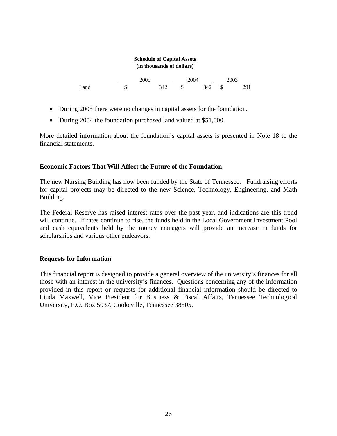# **Schedule of Capital Assets (in thousands of dollars)**   $\frac{2005}{342} - \frac{2004}{8} \frac{342}{342}$ Land \$ 342 \$ 342 \$ 291

- During 2005 there were no changes in capital assets for the foundation.
- During 2004 the foundation purchased land valued at \$51,000.

More detailed information about the foundation's capital assets is presented in Note 18 to the financial statements.

## **Economic Factors That Will Affect the Future of the Foundation**

The new Nursing Building has now been funded by the State of Tennessee. Fundraising efforts for capital projects may be directed to the new Science, Technology, Engineering, and Math Building.

The Federal Reserve has raised interest rates over the past year, and indications are this trend will continue. If rates continue to rise, the funds held in the Local Government Investment Pool and cash equivalents held by the money managers will provide an increase in funds for scholarships and various other endeavors.

## **Requests for Information**

This financial report is designed to provide a general overview of the university's finances for all those with an interest in the university's finances. Questions concerning any of the information provided in this report or requests for additional financial information should be directed to Linda Maxwell, Vice President for Business & Fiscal Affairs, Tennessee Technological University, P.O. Box 5037, Cookeville, Tennessee 38505.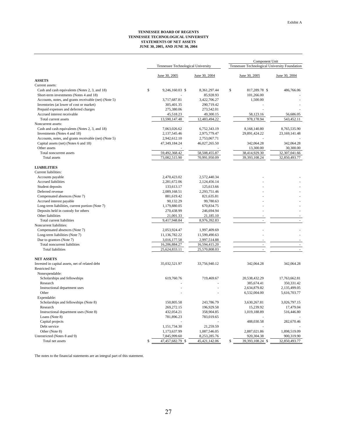#### **TENNESSEE BOARD OF REGENTS TENNESSEE TECHNOLOGICAL UNIVERSITY STATEMENTS OF NET ASSETS JUNE 30, 2005, AND JUNE 30, 2004**

|                                                                                           |   |                                    |                           | Component Unit |                                               |                          |  |
|-------------------------------------------------------------------------------------------|---|------------------------------------|---------------------------|----------------|-----------------------------------------------|--------------------------|--|
|                                                                                           |   | Tennessee Technological University |                           |                | Tennessee Technological University Foundation |                          |  |
|                                                                                           |   | June 30, 2005                      | June 30, 2004             |                | June 30, 2005                                 | June 30, 2004            |  |
| <b>ASSETS</b>                                                                             |   |                                    |                           |                |                                               |                          |  |
| Current assets:                                                                           |   |                                    |                           |                |                                               |                          |  |
| Cash and cash equivalents (Notes 2, 3, and 18)<br>Short-term investments (Notes 4 and 18) | S | 9,246,160.03 \$                    | 8,361,297.44<br>85,928.93 | \$             | 817,289.78 \$<br>101,266.00                   | 486,766.06               |  |
| Accounts, notes, and grants receivable (net) (Note 5)                                     |   | 3,717,687.81                       | 3,422,706.27              |                | 1,500.00                                      |                          |  |
| Inventories (at lower of cost or market)                                                  |   | 305,401.35                         | 290,719.42                |                |                                               |                          |  |
| Prepaid expenses and deferred charges                                                     |   | 275,380.06                         | 273,542.01                |                |                                               |                          |  |
| Accrued interest receivable                                                               |   | 45,518.23                          | 49,300.15                 |                | 58,123.16                                     | 56,686.05                |  |
| Total current assets                                                                      |   | 13,590,147.48                      | 12,483,494.22             |                | 978,178.94                                    | 543,452.11               |  |
| Noncurrent assets:                                                                        |   |                                    |                           |                |                                               |                          |  |
| Cash and cash equivalents (Notes 2, 3, and 18)                                            |   | 7,063,026.62                       | 6,752,343.19              |                | 8,168,140.80                                  | 8,765,535.90             |  |
| Investments (Notes 4 and 18)                                                              |   | 2,137,545.46                       | 2,975,779.47              |                | 29,891,424.22                                 | 23, 169, 141. 48         |  |
| Accounts, notes, and grants receivable (net) (Note 5)                                     |   | 2,942,612.10                       | 2,753,067.71              |                |                                               |                          |  |
| Capital assets (net) (Notes 6 and 18)                                                     |   | 47,349,184.24                      | 46,027,265.50             |                | 342,064.28                                    | 342,064.28               |  |
| Other assets                                                                              |   |                                    |                           |                | 13,300.00                                     | 30,300.00                |  |
| Total noncurrent assets                                                                   |   | 59,492,368.42                      | 58,508,455.87             |                | 38,414,929.30                                 | 32,307,041.66            |  |
| <b>Total</b> assets                                                                       |   | 73,082,515.90                      | 70,991,950.09             |                | 39, 393, 108.24                               | 32,850,493.77            |  |
| <b>LIABILITIES</b>                                                                        |   |                                    |                           |                |                                               |                          |  |
| Current liabilities:                                                                      |   |                                    |                           |                |                                               |                          |  |
| Accounts payable                                                                          |   | 2,470,423.02                       | 2,572,440.34              |                |                                               |                          |  |
| Accrued liabilities                                                                       |   | 2,281,672.06                       | 2,124,456.14              |                |                                               |                          |  |
| Student deposits                                                                          |   | 133,613.17                         | 125,613.66                |                |                                               |                          |  |
| Deferred revenue                                                                          |   | 2,089,168.51                       | 2,293,751.46              |                |                                               |                          |  |
| Compensated absences (Note 7)                                                             |   | 881,619.42                         | 821,635.81                |                |                                               |                          |  |
| Accrued interest payable                                                                  |   | 90,132.29                          | 99,780.63                 |                |                                               |                          |  |
| Long-term liabilities, current portion (Note 7)                                           |   | 1,179,880.05                       | 670,834.75                |                |                                               |                          |  |
| Deposits held in custody for others                                                       |   | 270,438.99                         | 246,694.94                |                |                                               |                          |  |
| Other liabilities                                                                         |   | 21,001.33                          | 21,185.10                 |                |                                               |                          |  |
| Total current liabilities                                                                 |   | 9,417,948.84                       | 8,976,392.83              |                | ×.                                            | $\sim$                   |  |
| Noncurrent liabilities:                                                                   |   |                                    |                           |                |                                               |                          |  |
| Compensated absences (Note 7)                                                             |   | 2,053,924.47                       | 1,997,409.69              |                |                                               |                          |  |
| Long-term liabilities (Note 7)                                                            |   | 11,136,782.22                      | 11,599,490.63             |                |                                               |                          |  |
| Due to grantors (Note 7)                                                                  |   | 3,016,177.58                       | 2,997,514.88              |                |                                               |                          |  |
| Total noncurrent liabilities                                                              |   | 16,206,884.27                      | 16,594,415.20             |                |                                               | ÷.                       |  |
| <b>Total liabilities</b>                                                                  |   | 25,624,833.11                      | 25,570,808.03             |                | L.                                            | $\overline{\phantom{a}}$ |  |
| <b>NET ASSETS</b>                                                                         |   |                                    |                           |                |                                               |                          |  |
| Invested in capital assets, net of related debt<br>Restricted for:                        |   | 35,032,521.97                      | 33,756,940.12             |                | 342,064.28                                    | 342,064.28               |  |
| Nonexpendable:                                                                            |   |                                    |                           |                |                                               |                          |  |
| Scholarships and fellowships                                                              |   | 619,760.76                         | 719,469.67                |                | 20,538,432.29                                 | 17,763,662.81            |  |
| Research                                                                                  |   |                                    |                           |                | 385,674.41                                    | 350, 331. 42             |  |
| Instructional department uses                                                             |   |                                    |                           |                | 2,634,879.82                                  | 2,135,499.05             |  |
| Other                                                                                     |   |                                    |                           |                | 6,532,004.00                                  | 5,616,703.77             |  |
| Expendable:                                                                               |   |                                    |                           |                |                                               |                          |  |
| Scholarships and fellowships (Note 8)                                                     |   | 150,805.58                         | 243,786.79                |                | 3,630,267.81                                  | 3,026,797.15             |  |
| Research                                                                                  |   | 269,272.15                         | 196,929.58                |                | 15,239.92                                     | 17,479.04                |  |
| Instructional department uses (Note 8)                                                    |   | 432,054.21                         | 358,904.85                |                | 1,019,188.89                                  | 516,446.80               |  |
| Loans (Note 8)                                                                            |   | 781,896.23                         | 783,019.65                |                |                                               |                          |  |
| Capital projects                                                                          |   |                                    |                           |                | 488,030.58                                    | 282,670.46               |  |
| Debt service                                                                              |   | 1,151,734.30                       | 21,259.59                 |                |                                               |                          |  |
| Other (Note 8)                                                                            |   | 1,173,637.99                       | 1,087,546.05              |                | 2,887,021.86                                  | 1,898,519.09             |  |
| Unrestricted (Notes 8 and 9)                                                              |   | 7,845,999.60                       | 8,253,285.76              |                | 920,304.38                                    | 900,319.90               |  |
| Total net assets                                                                          | S | 47,457,682.79 \$                   | 45, 421, 142. 06          | \$             | 39,393,108.24 \$                              | 32,850,493.77            |  |

The notes to the financial statements are an integral part of this statement.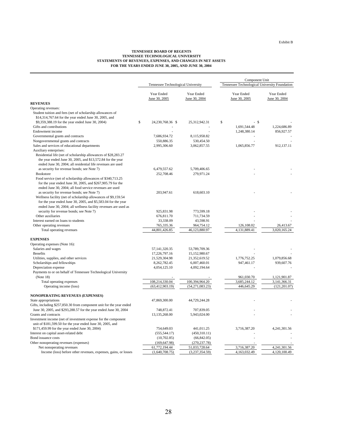#### **TENNESSEE BOARD OF REGENTS TENNESSEE TECHNOLOGICAL UNIVERSITY STATEMENTS OF REVENUES, EXPENSES, AND CHANGES IN NET ASSETS FOR THE YEARS ENDED JUNE 30, 2005, AND JUNE 30, 2004**

|                                                                      |                                    |                             |                                               | Component Unit              |                             |  |
|----------------------------------------------------------------------|------------------------------------|-----------------------------|-----------------------------------------------|-----------------------------|-----------------------------|--|
|                                                                      | Tennessee Technological University |                             | Tennessee Technological University Foundation |                             |                             |  |
|                                                                      | Year Ended<br>June 30, 2005        | Year Ended<br>June 30, 2004 |                                               | Year Ended<br>June 30, 2005 | Year Ended<br>June 30, 2004 |  |
| <b>REVENUES</b>                                                      |                                    |                             |                                               |                             |                             |  |
| Operating revenues:                                                  |                                    |                             |                                               |                             |                             |  |
| Student tuition and fees (net of scholarship allowances of           |                                    |                             |                                               |                             |                             |  |
| \$14,314,767.64 for the year ended June 30, 2005, and                |                                    |                             |                                               |                             |                             |  |
| \$9,359,388.19 for the year ended June 30, 2004)                     | \$<br>24,230,768.36 \$             | 25,312,942.31               | \$                                            | - \$                        |                             |  |
| Gifts and contributions                                              |                                    |                             |                                               | 1,691,544.48                | 1,224,686.89                |  |
| Endowment income                                                     |                                    |                             |                                               | 1,248,380.14                | 856,927.57                  |  |
| Governmental grants and contracts                                    | 7,686,934.72                       | 8,115,958.82                |                                               |                             |                             |  |
| Nongovernmental grants and contracts                                 | 550,886.35                         | 530,454.50                  |                                               |                             |                             |  |
| Sales and services of educational departments                        | 2,995,306.60                       | 3,062,857.55                |                                               | 1,065,856.77                | 912,137.11                  |  |
| Auxiliary enterprises:                                               |                                    |                             |                                               |                             |                             |  |
| Residential life (net of scholarship allowances of \$28,283.27       |                                    |                             |                                               |                             |                             |  |
| the year ended June 30, 2005, and \$13,572.84 for the year           |                                    |                             |                                               |                             |                             |  |
| ended June 30, 2004; all residential life revenues are used          |                                    |                             |                                               |                             |                             |  |
| as security for revenue bonds; see Note 7)                           | 6,479,557.62                       | 5,709,406.65                |                                               |                             |                             |  |
| Bookstore                                                            | 252,708.46                         | 279,971.24                  |                                               |                             |                             |  |
| Food service (net of scholarship allowances of \$340,713.25          |                                    |                             |                                               |                             |                             |  |
| for the year ended June 30, 2005, and \$267,905.79 for the           |                                    |                             |                                               |                             |                             |  |
| ended June 30, 2004; all food service revenues are used              |                                    |                             |                                               |                             |                             |  |
| as security for revenue bonds; see Note 7)                           | 203,947.61                         | 618,603.10                  |                                               |                             |                             |  |
| Wellness facility (net of scholarship allowances of \$9,159.54       |                                    |                             |                                               |                             |                             |  |
| for the year ended June 30, 2005, and \$5,583.04 for the year        |                                    |                             |                                               |                             |                             |  |
| ended June 30, 2004; all wellness facility revenues are used as      |                                    |                             |                                               |                             |                             |  |
| security for revenue bonds; see Note 7)                              | 925,831.98                         | 773,599.18                  |                                               |                             |                             |  |
| Other auxiliaries                                                    | 676,811.70                         | 711,734.59                  |                                               |                             |                             |  |
| Interest earned on loans to students                                 | 33,338.09                          | 43,598.91                   |                                               |                             |                             |  |
| Other operating revenues                                             | 765,335.36<br>44,801,426.85        | 964,754.12<br>46,123,880.97 |                                               | 126,108.02<br>4,131,889.41  | 26,413.67<br>3,020,165.24   |  |
| Total operating revenues                                             |                                    |                             |                                               |                             |                             |  |
| <b>EXPENSES</b>                                                      |                                    |                             |                                               |                             |                             |  |
| Operating expenses (Note 16):                                        |                                    |                             |                                               |                             |                             |  |
| Salaries and wages                                                   | 57, 141, 320. 35                   | 53,789,709.36               |                                               |                             |                             |  |
| <b>Benefits</b>                                                      | 17,226,797.16                      | 15,152,980.67               |                                               |                             |                             |  |
| Utilities, supplies, and other services                              | 21,529,304.98                      | 21,352,619.52               |                                               | 1,776,752.25                | 1,079,856.68                |  |
| Scholarships and fellowships                                         | 8, 262, 782. 45                    | 6,007,460.01                |                                               | 947,461.17                  | 939,607.76                  |  |
| Depreciation expense                                                 | 4,054,125.10                       | 4,092,194.64                |                                               |                             |                             |  |
| Payments to or on behalf of Tennessee Technological University       |                                    |                             |                                               |                             |                             |  |
| (Note 18)                                                            |                                    |                             |                                               | 961,030.70                  | 1,121,901.87                |  |
| Total operating expenses                                             | 108,214,330.04                     | 100,394,964.20              |                                               | 3,685,244.12                | 3,141,366.31                |  |
| Operating income (loss)                                              | (63, 412, 903.19)                  | (54,271,083.23)             |                                               | 446,645.29                  | (121, 201.07)               |  |
| <b>NONOPERATING REVENUES (EXPENSES)</b>                              |                                    |                             |                                               |                             |                             |  |
| State appropriations                                                 | 47,869,300.00                      | 44,729,244.28               |                                               |                             |                             |  |
| Gifts, including \$257,850.30 from component unit for the year ended |                                    |                             |                                               |                             |                             |  |
| June 30, 2005, and \$293,288.57 for the year ended June 30, 2004     | 748,872.41                         | 707,839.05                  |                                               |                             |                             |  |
| Grants and contracts                                                 | 13,135,268.00                      | 5,943,024.00                |                                               |                             |                             |  |
| Investment income (net of investment expense for the component       |                                    |                             |                                               |                             |                             |  |
| unit of \$181,599.50 for the year ended June 30, 2005, and           |                                    |                             |                                               |                             |                             |  |
| \$171,459.99 for the year ended June 30, 2004)                       | 754,649.03                         | 441,011.25                  |                                               | 3,716,387.20                | 4,241,301.56                |  |
| Interest on capital asset-related debt                               | (555, 544.17)                      | (450,310.11)                |                                               |                             |                             |  |
| Bond issuance costs                                                  | (10,702.85)                        | (66, 842.05)                |                                               |                             |                             |  |
| Other nonoperating revenues (expenses)                               | (169, 647.98)                      | (270, 237.78)               |                                               |                             |                             |  |
| Net nonoperating revenues                                            | 61,772,194.44                      | 51,033,728.64               |                                               | 3,716,387.20                | 4,241,301.56                |  |
| Income (loss) before other revenues, expenses, gains, or losses      | (1,640,708.75)                     | (3,237,354.59)              |                                               | 4,163,032.49                | 4,120,100.49                |  |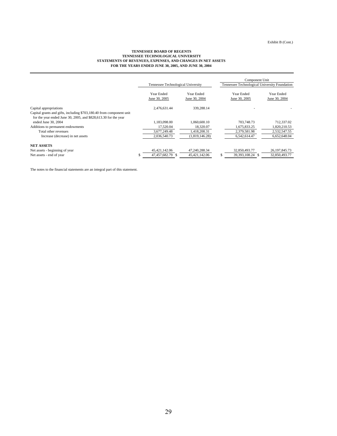#### **TENNESSEE BOARD OF REGENTS TENNESSEE TECHNOLOGICAL UNIVERSITY STATEMENTS OF REVENUES, EXPENSES, AND CHANGES IN NET ASSETS FOR THE YEARS ENDED JUNE 30, 2005, AND JUNE 30, 2004**

|                                                                                                                                                                   |                                    |                             | Component Unit |                                               |                             |  |
|-------------------------------------------------------------------------------------------------------------------------------------------------------------------|------------------------------------|-----------------------------|----------------|-----------------------------------------------|-----------------------------|--|
|                                                                                                                                                                   | Tennessee Technological University |                             |                | Tennessee Technological University Foundation |                             |  |
|                                                                                                                                                                   | Year Ended<br>June 30, 2005        | Year Ended<br>June 30, 2004 |                | Year Ended<br>June 30, 2005                   | Year Ended<br>June 30, 2004 |  |
| Capital appropriations<br>Capital grants and gifts, including \$703,180.40 from component unit<br>for the year ended June 30, 2005, and \$828,613.30 for the year | 2.476.631.44                       | 339.288.14                  |                |                                               |                             |  |
| ended June 30, 2004                                                                                                                                               | 1.183.098.00                       | 1.060.600.10                |                | 703,748.73                                    | 712,337.02                  |  |
| Additions to permanent endowments                                                                                                                                 | 17,520.04                          | 18,320.07                   |                | 1,675,833.25                                  | 1,820,210.53                |  |
| Total other revenues                                                                                                                                              | 3.677.249.48                       | 1.418.208.31                |                | 2.379.581.98                                  | 2,532,547.55                |  |
| Increase (decrease) in net assets                                                                                                                                 | 2.036.540.73                       | (1,819,146.28)              |                | 6.542.614.47                                  | 6,652,648.04                |  |
| <b>NET ASSETS</b>                                                                                                                                                 |                                    |                             |                |                                               |                             |  |
| Net assets - beginning of year                                                                                                                                    | 45, 421, 142, 06                   | 47,240,288.34               |                | 32,850,493.77                                 | 26, 197, 845. 73            |  |
| Net assets - end of year                                                                                                                                          | 47.457.682.79 \$                   | 45.421.142.06               | \$.            | 39,393,108.24 \$                              | 32,850,493.77               |  |

The notes to the financial statements are an integral part of this statement.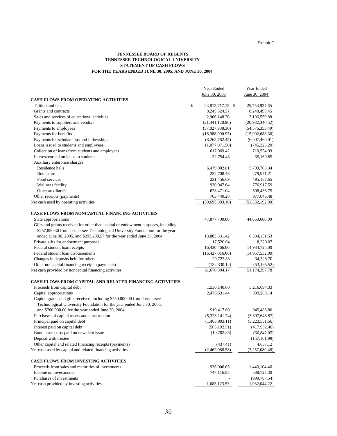#### **TENNESSEE BOARD OF REGENTS TENNESSEE TECHNOLOGICAL UNIVERSITY STATEMENT OF CASH FLOWS FOR THE YEARS ENDED JUNE 30, 2005, AND JUNE 30, 2004**

|                                                                                   | Year Ended             | Year Ended        |
|-----------------------------------------------------------------------------------|------------------------|-------------------|
|                                                                                   | June 30, 2005          | June 30, 2004     |
| <b>CASH FLOWS FROM OPERATING ACTIVITIES</b>                                       |                        |                   |
| Tuition and fees                                                                  | \$<br>23,812,717.15 \$ | 25,753,924.65     |
| Grants and contracts                                                              | 8,245,524.37           | 8,248,495.45      |
| Sales and services of educational activities                                      | 2,966,148.76           | 3,196,559.88      |
| Payments to suppliers and vendors                                                 | (21, 341, 120.96)      | (20,982,340.52)   |
| Payments to employees                                                             | (57,027,938.36)        | (54, 576, 353.49) |
| Payments for benefits                                                             | (16,988,090.93)        | (15,902,688.36)   |
| Payments for scholarships and fellowships                                         | (8,262,782.45)         | (6,007,460.01)    |
| Loans issued to students and employees                                            | (1,077,071.50)         | (745, 325.20)     |
| Collection of loans from students and employees                                   | 617,069.42             | 710,554.93        |
| Interest earned on loans to students                                              | 32,754.48              | 35,169.85         |
| Auxiliary enterprise charges:                                                     |                        |                   |
| Residence halls                                                                   | 6,479,882.81           | 5,709,708.34      |
| <b>Bookstore</b>                                                                  | 252,708.46             | 279,971.21        |
| Food services                                                                     | 221,456.69             | 495,187.65        |
| Wellness facility                                                                 | 930,947.64             | 776,917.59        |
| Other auxiliaries                                                                 | 678,471.04             | 698,438.75        |
| Other receipts (payments)                                                         | 763,440.28             | 977,046.48        |
| Net cash used by operating activities                                             | (59,695,883.10)        | (51, 332, 192.80) |
| <b>CASH FLOWS FROM NONCAPITAL FINANCING ACTIVITIES</b>                            |                        |                   |
| State appropriations                                                              | 47,877,700.00          | 44,663,600.00     |
| Gifts and grants received for other than capital or endowment purposes, including |                        |                   |
| \$257,850.30 from Tennessee Technological University Foundation for the year      |                        |                   |
| ended June 30, 2005, and \$293,288.57 for the year ended June 30, 2004            | 13,883,331.42          | 6,534,151.53      |
| Private gifts for endowment purposes                                              | 17,520.04              | 18,320.07         |
| Federal student loan receipts                                                     | 16,430,466.00          | 14,934,725.00     |
| Federal student loan disbursements                                                | (16,427,016.00)        | (14,957,532.00)   |
| Changes in deposits held for others                                               | 20,722.83              | 34,328.70         |
| Other noncapital financing receipts (payments)                                    | (132, 330.12)          | (53, 195.52)      |
| Net cash provided by noncapital financing activities                              | 61,670,394.17          | 51,174,397.78     |
| <b>CASH FLOWS FROM CAPITAL AND RELATED FINANCING ACTIVITIES</b>                   |                        |                   |
| Proceeds from capital debt                                                        | 1,530,140.00           | 5,216,694.33      |
| Capital appropriations                                                            | 2,476,631.44           | 339,288.14        |
| Capital grants and gifts received, including \$450,000.00 from Tennessee          |                        |                   |
| Technological University Foundation for the year ended June 30, 2005,             |                        |                   |
| and \$760,000.00 for the year ended June 30, 2004                                 | 919,417.60             | 945,486.80        |
| Purchases of capital assets and construction                                      | (5,328,141.74)         | (5,897,648.87)    |
| Principal paid on capital debt                                                    | (1,483,803.11)         | (3,223,551.56)    |
| Interest paid on capital debt                                                     | (565, 192.51)          | (417,982.40)      |
| Bond issue costs paid on new debt issue                                           | (10, 702.85)           | (66, 842.05)      |
| Deposit with trustee                                                              |                        | (157, 161.99)     |
| Other capital and related financing receipts (payments)                           | (437.41)               | 4,637.12          |
| Net cash used by capital and related financing activities                         | (2,462,088.58)         | (3,257,080.48)    |
| <b>CASH FLOWS FROM INVESTING ACTIVITIES</b>                                       |                        |                   |
| Proceeds from sales and maturities of investments                                 | 936,006.65             | 1,443,104.46      |
| Income on investments                                                             | 747,116.88             | 588,727.30        |
| Purchases of investments                                                          |                        | (999, 787.54)     |
| Net cash provided by investing activities                                         | 1,683,123.53           | 1,032,044.22      |
|                                                                                   |                        |                   |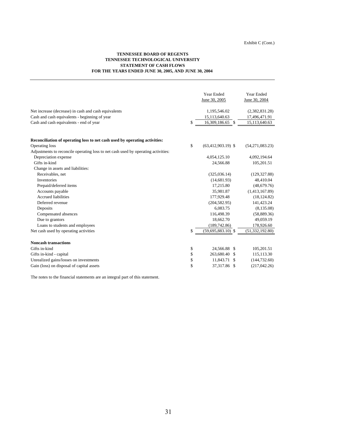#### **TENNESSEE BOARD OF REGENTS TENNESSEE TECHNOLOGICAL UNIVERSITY STATEMENT OF CASH FLOWS FOR THE YEARS ENDED JUNE 30, 2005, AND JUNE 30, 2004**

|                                                                                   | Year Ended<br>June 30, 2005  | Year Ended<br>June 30, 2004 |
|-----------------------------------------------------------------------------------|------------------------------|-----------------------------|
| Net increase (decrease) in cash and cash equivalents                              | 1,195,546.02                 | (2,382,831.28)              |
| Cash and cash equivalents - beginning of year                                     | 15,113,640.63                | 17,496,471.91               |
| Cash and cash equivalents - end of year                                           | \$<br>16,309,186.65 \$       | 15,113,640.63               |
| Reconciliation of operating loss to net cash used by operating activities:        |                              |                             |
| Operating loss                                                                    | \$<br>$(63, 412, 903.19)$ \$ | (54,271,083.23)             |
| Adjustments to reconcile operating loss to net cash used by operating activities: |                              |                             |
| Depreciation expense                                                              | 4,054,125.10                 | 4,092,194.64                |
| Gifts in-kind                                                                     | 24,566.88                    | 105,201.51                  |
| Change in assets and liabilities:                                                 |                              |                             |
| Receivables, net                                                                  | (325,036.14)                 | (129, 327.88)               |
| <b>Inventories</b>                                                                | (14,681.93)                  | 48,410.04                   |
| Prepaid/deferred items                                                            | 17,215.80                    | (48,679.76)                 |
| Accounts payable                                                                  | 35,981.87                    | (1,413,167.89)              |
| <b>Accrued liabilities</b>                                                        | 177,929.48                   | (18, 124.82)                |
| Deferred revenue                                                                  | (204, 582.95)                | 141,423.24                  |
| Deposits                                                                          | 6,083.75                     | (8,135.08)                  |
| Compensated absences                                                              | 116,498.39                   | (58,889.36)                 |
| Due to grantors                                                                   | 18,662.70                    | 49,059.19                   |
| Loans to students and employees                                                   | (189, 742.86)                | 178,926.60                  |
| Net cash used by operating activities                                             | \$<br>$(59,695,883.10)$ \$   | (51, 332, 192.80)           |
| <b>Noncash transactions</b>                                                       |                              |                             |
| Gifts in-kind                                                                     | \$<br>24,566.88 \$           | 105,201.51                  |
| Gifts in-kind - capital                                                           | \$<br>263,680.40 \$          | 115,113.30                  |
| Unrealized gains/losses on investments                                            | \$<br>11,843.71 \$           | (144, 732.60)               |
| Gain (loss) on disposal of capital assets                                         | \$<br>37,317.86 \$           | (217,042.26)                |

The notes to the financial statements are an integral part of this statement.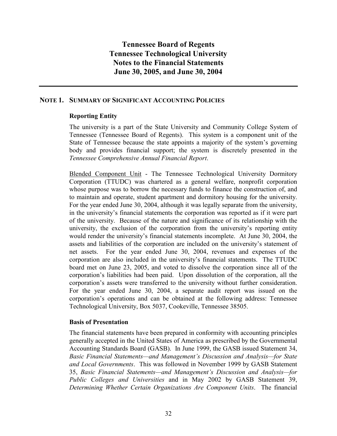### NOTE 1. SUMMARY OF SIGNIFICANT ACCOUNTING POLICIES

## Reporting Entity

The university is a part of the State University and Community College System of Tennessee (Tennessee Board of Regents). This system is a component unit of the State of Tennessee because the state appoints a majority of the system's governing body and provides financial support; the system is discretely presented in the Tennessee Comprehensive Annual Financial Report.

Blended Component Unit - The Tennessee Technological University Dormitory Corporation (TTUDC) was chartered as a general welfare, nonprofit corporation whose purpose was to borrow the necessary funds to finance the construction of, and to maintain and operate, student apartment and dormitory housing for the university. For the year ended June 30, 2004, although it was legally separate from the university, in the university's financial statements the corporation was reported as if it were part of the university. Because of the nature and significance of its relationship with the university, the exclusion of the corporation from the university's reporting entity would render the university's financial statements incomplete. At June 30, 2004, the assets and liabilities of the corporation are included on the university's statement of net assets. For the year ended June 30, 2004, revenues and expenses of the corporation are also included in the university's financial statements. The TTUDC board met on June 23, 2005, and voted to dissolve the corporation since all of the corporation's liabilities had been paid. Upon dissolution of the corporation, all the corporation's assets were transferred to the university without further consideration. For the year ended June 30, 2004, a separate audit report was issued on the corporation's operations and can be obtained at the following address: Tennessee Technological University, Box 5037, Cookeville, Tennessee 38505.

#### Basis of Presentation

The financial statements have been prepared in conformity with accounting principles generally accepted in the United States of America as prescribed by the Governmental Accounting Standards Board (GASB). In June 1999, the GASB issued Statement 34, Basic Financial Statements—and Management's Discussion and Analysis—for State and Local Governments. This was followed in November 1999 by GASB Statement 35, Basic Financial Statements—and Management's Discussion and Analysis—for Public Colleges and Universities and in May 2002 by GASB Statement 39, Determining Whether Certain Organizations Are Component Units. The financial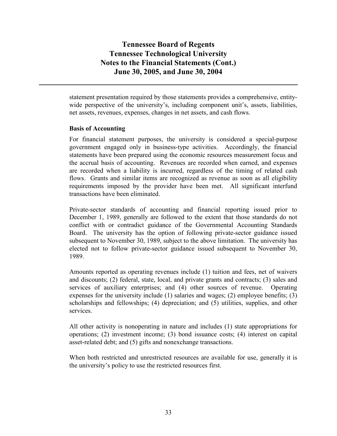statement presentation required by those statements provides a comprehensive, entitywide perspective of the university's, including component unit's, assets, liabilities, net assets, revenues, expenses, changes in net assets, and cash flows.

## Basis of Accounting

For financial statement purposes, the university is considered a special-purpose government engaged only in business-type activities. Accordingly, the financial statements have been prepared using the economic resources measurement focus and the accrual basis of accounting. Revenues are recorded when earned, and expenses are recorded when a liability is incurred, regardless of the timing of related cash flows. Grants and similar items are recognized as revenue as soon as all eligibility requirements imposed by the provider have been met. All significant interfund transactions have been eliminated.

Private-sector standards of accounting and financial reporting issued prior to December 1, 1989, generally are followed to the extent that those standards do not conflict with or contradict guidance of the Governmental Accounting Standards Board. The university has the option of following private-sector guidance issued subsequent to November 30, 1989, subject to the above limitation. The university has elected not to follow private-sector guidance issued subsequent to November 30, 1989.

Amounts reported as operating revenues include (1) tuition and fees, net of waivers and discounts; (2) federal, state, local, and private grants and contracts; (3) sales and services of auxiliary enterprises; and (4) other sources of revenue. Operating expenses for the university include (1) salaries and wages; (2) employee benefits; (3) scholarships and fellowships; (4) depreciation; and (5) utilities, supplies, and other services.

All other activity is nonoperating in nature and includes (1) state appropriations for operations; (2) investment income; (3) bond issuance costs; (4) interest on capital asset-related debt; and (5) gifts and nonexchange transactions.

When both restricted and unrestricted resources are available for use, generally it is the university's policy to use the restricted resources first.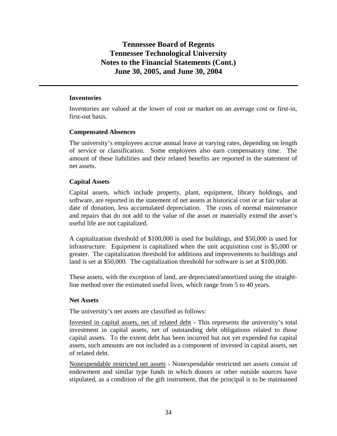#### **Inventories**

Inventories are valued at the lower of cost or market on an average cost or first-in, first-out basis.

## **Compensated Absences**

The university's employees accrue annual leave at varying rates, depending on length of service or classification. Some employees also earn compensatory time. The amount of these liabilities and their related benefits are reported in the statement of net assets.

## **Capital Assets**

Capital assets, which include property, plant, equipment, library holdings, and software, are reported in the statement of net assets at historical cost or at fair value at date of donation, less accumulated depreciation. The costs of normal maintenance and repairs that do not add to the value of the asset or materially extend the asset's useful life are not capitalized.

A capitalization threshold of \$100,000 is used for buildings, and \$50,000 is used for infrastructure. Equipment is capitalized when the unit acquisition cost is \$5,000 or greater. The capitalization threshold for additions and improvements to buildings and land is set at \$50,000. The capitalization threshold for software is set at \$100,000.

These assets, with the exception of land, are depreciated/amortized using the straightline method over the estimated useful lives, which range from 5 to 40 years.

#### **Net Assets**

The university's net assets are classified as follows:

Invested in capital assets, net of related debt - This represents the university's total investment in capital assets, net of outstanding debt obligations related to those capital assets. To the extent debt has been incurred but not yet expended for capital assets, such amounts are not included as a component of invested in capital assets, net of related debt.

Nonexpendable restricted net assets - Nonexpendable restricted net assets consist of endowment and similar type funds in which donors or other outside sources have stipulated, as a condition of the gift instrument, that the principal is to be maintained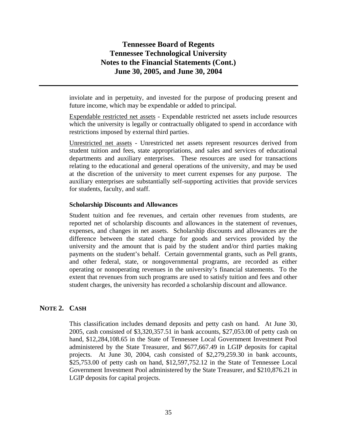inviolate and in perpetuity, and invested for the purpose of producing present and future income, which may be expendable or added to principal.

Expendable restricted net assets - Expendable restricted net assets include resources which the university is legally or contractually obligated to spend in accordance with restrictions imposed by external third parties.

Unrestricted net assets - Unrestricted net assets represent resources derived from student tuition and fees, state appropriations, and sales and services of educational departments and auxiliary enterprises. These resources are used for transactions relating to the educational and general operations of the university, and may be used at the discretion of the university to meet current expenses for any purpose. The auxiliary enterprises are substantially self-supporting activities that provide services for students, faculty, and staff.

#### **Scholarship Discounts and Allowances**

Student tuition and fee revenues, and certain other revenues from students, are reported net of scholarship discounts and allowances in the statement of revenues, expenses, and changes in net assets. Scholarship discounts and allowances are the difference between the stated charge for goods and services provided by the university and the amount that is paid by the student and/or third parties making payments on the student's behalf. Certain governmental grants, such as Pell grants, and other federal, state, or nongovernmental programs, are recorded as either operating or nonoperating revenues in the university's financial statements. To the extent that revenues from such programs are used to satisfy tuition and fees and other student charges, the university has recorded a scholarship discount and allowance.

#### **NOTE 2. CASH**

This classification includes demand deposits and petty cash on hand. At June 30, 2005, cash consisted of \$3,320,357.51 in bank accounts, \$27,053.00 of petty cash on hand, \$12,284,108.65 in the State of Tennessee Local Government Investment Pool administered by the State Treasurer, and \$677,667.49 in LGIP deposits for capital projects. At June 30, 2004, cash consisted of \$2,279,259.30 in bank accounts, \$25,753.00 of petty cash on hand, \$12,597,752.12 in the State of Tennessee Local Government Investment Pool administered by the State Treasurer, and \$210,876.21 in LGIP deposits for capital projects.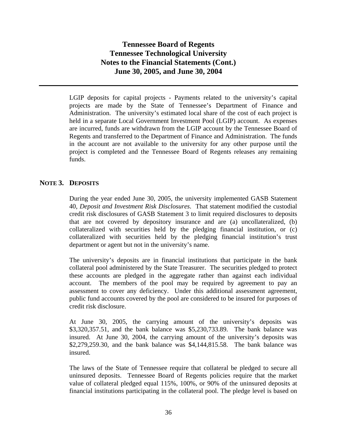LGIP deposits for capital projects - Payments related to the university's capital projects are made by the State of Tennessee's Department of Finance and Administration. The university's estimated local share of the cost of each project is held in a separate Local Government Investment Pool (LGIP) account. As expenses are incurred, funds are withdrawn from the LGIP account by the Tennessee Board of Regents and transferred to the Department of Finance and Administration. The funds in the account are not available to the university for any other purpose until the project is completed and the Tennessee Board of Regents releases any remaining funds.

## **NOTE 3. DEPOSITS**

During the year ended June 30, 2005, the university implemented GASB Statement 40, *Deposit and Investment Risk Disclosures*. That statement modified the custodial credit risk disclosures of GASB Statement 3 to limit required disclosures to deposits that are not covered by depository insurance and are (a) uncollateralized, (b) collateralized with securities held by the pledging financial institution, or (c) collateralized with securities held by the pledging financial institution's trust department or agent but not in the university's name.

The university's deposits are in financial institutions that participate in the bank collateral pool administered by the State Treasurer. The securities pledged to protect these accounts are pledged in the aggregate rather than against each individual account. The members of the pool may be required by agreement to pay an assessment to cover any deficiency. Under this additional assessment agreement, public fund accounts covered by the pool are considered to be insured for purposes of credit risk disclosure.

At June 30, 2005, the carrying amount of the university's deposits was \$3,320,357.51, and the bank balance was \$5,230,733.89. The bank balance was insured. At June 30, 2004, the carrying amount of the university's deposits was \$2,279,259.30, and the bank balance was \$4,144,815.58. The bank balance was insured.

The laws of the State of Tennessee require that collateral be pledged to secure all uninsured deposits. Tennessee Board of Regents policies require that the market value of collateral pledged equal 115%, 100%, or 90% of the uninsured deposits at financial institutions participating in the collateral pool. The pledge level is based on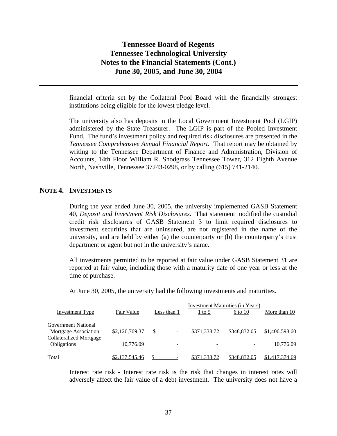financial criteria set by the Collateral Pool Board with the financially strongest institutions being eligible for the lowest pledge level.

The university also has deposits in the Local Government Investment Pool (LGIP) administered by the State Treasurer. The LGIP is part of the Pooled Investment Fund. The fund's investment policy and required risk disclosures are presented in the *Tennessee Comprehensive Annual Financial Report.* That report may be obtained by writing to the Tennessee Department of Finance and Administration, Division of Accounts, 14th Floor William R. Snodgrass Tennessee Tower, 312 Eighth Avenue North, Nashville, Tennessee 37243-0298, or by calling (615) 741-2140.

#### **NOTE 4. INVESTMENTS**

During the year ended June 30, 2005, the university implemented GASB Statement 40, *Deposit and Investment Risk Disclosures*. That statement modified the custodial credit risk disclosures of GASB Statement 3 to limit required disclosures to investment securities that are uninsured, are not registered in the name of the university, and are held by either (a) the counterparty or (b) the counterparty's trust department or agent but not in the university's name.

All investments permitted to be reported at fair value under GASB Statement 31 are reported at fair value, including those with a maturity date of one year or less at the time of purchase.

At June 30, 2005, the university had the following investments and maturities.

|                                |                |             | <b>Investment Maturities (in Years)</b> |              |                |
|--------------------------------|----------------|-------------|-----------------------------------------|--------------|----------------|
| <b>Investment Type</b>         | Fair Value     | Less than 1 | $1$ to 5                                | 6 to 10      | More than 10   |
| Government National            |                |             |                                         |              |                |
| Mortgage Association           | \$2,126,769.37 | \$<br>۰.    | \$371,338.72                            | \$348,832.05 | \$1,406,598.60 |
| <b>Collateralized Mortgage</b> |                |             |                                         |              |                |
| <b>Obligations</b>             | 10,776.09      |             |                                         |              | 10.776.09      |
| Total                          | \$2,137,545.46 |             | \$371,338.72                            | \$348,832.05 | \$1,417,374.69 |

Interest rate risk - Interest rate risk is the risk that changes in interest rates will adversely affect the fair value of a debt investment. The university does not have a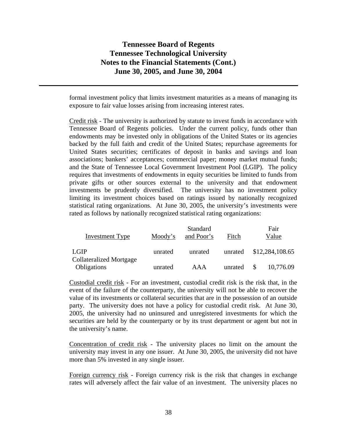formal investment policy that limits investment maturities as a means of managing its exposure to fair value losses arising from increasing interest rates.

Credit risk - The university is authorized by statute to invest funds in accordance with Tennessee Board of Regents policies. Under the current policy, funds other than endowments may be invested only in obligations of the United States or its agencies backed by the full faith and credit of the United States; repurchase agreements for United States securities; certificates of deposit in banks and savings and loan associations; bankers' acceptances; commercial paper; money market mutual funds; and the State of Tennessee Local Government Investment Pool (LGIP). The policy requires that investments of endowments in equity securities be limited to funds from private gifts or other sources external to the university and that endowment investments be prudently diversified. The university has no investment policy limiting its investment choices based on ratings issued by nationally recognized statistical rating organizations. At June 30, 2005, the university's investments were rated as follows by nationally recognized statistical rating organizations:

|                                               |         | Standard   |         | Fair            |
|-----------------------------------------------|---------|------------|---------|-----------------|
| Investment Type                               | Moody's | and Poor's | Fitch   | Value           |
| <b>LGIP</b>                                   | unrated | unrated    | unrated | \$12,284,108.65 |
| <b>Collateralized Mortgage</b><br>Obligations | unrated | AAA        | unrated | 10,776.09       |

Custodial credit risk - For an investment, custodial credit risk is the risk that, in the event of the failure of the counterparty, the university will not be able to recover the value of its investments or collateral securities that are in the possession of an outside party. The university does not have a policy for custodial credit risk. At June 30, 2005, the university had no uninsured and unregistered investments for which the securities are held by the counterparty or by its trust department or agent but not in the university's name.

Concentration of credit risk - The university places no limit on the amount the university may invest in any one issuer. At June 30, 2005, the university did not have more than 5% invested in any single issuer.

Foreign currency risk - Foreign currency risk is the risk that changes in exchange rates will adversely affect the fair value of an investment. The university places no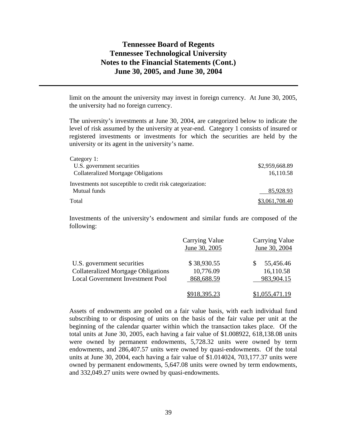limit on the amount the university may invest in foreign currency. At June 30, 2005, the university had no foreign currency.

The university's investments at June 30, 2004, are categorized below to indicate the level of risk assumed by the university at year-end. Category 1 consists of insured or registered investments or investments for which the securities are held by the university or its agent in the university's name.

| Category 1:                                                |                |
|------------------------------------------------------------|----------------|
| U.S. government securities                                 | \$2,959,668.89 |
| <b>Collateralized Mortgage Obligations</b>                 | 16,110.58      |
| Investments not susceptible to credit risk categorization: |                |
| Mutual funds                                               | 85,928.93      |
| Total                                                      | \$3,061,708.40 |

Investments of the university's endowment and similar funds are composed of the following:

|                                                                          | <b>Carrying Value</b><br>June 30, 2005 | <b>Carrying Value</b><br>June 30, 2004 |
|--------------------------------------------------------------------------|----------------------------------------|----------------------------------------|
| U.S. government securities<br><b>Collateralized Mortgage Obligations</b> | \$38,930.55<br>10,776.09               | 55,456.46<br>16,110.58                 |
| <b>Local Government Investment Pool</b>                                  | 868,688.59                             | 983,904.15                             |
|                                                                          | \$918,395.23                           | \$1,055,471.19                         |

Assets of endowments are pooled on a fair value basis, with each individual fund subscribing to or disposing of units on the basis of the fair value per unit at the beginning of the calendar quarter within which the transaction takes place. Of the total units at June 30, 2005, each having a fair value of \$1.008922, 618,138.08 units were owned by permanent endowments, 5,728.32 units were owned by term endowments, and 286,407.57 units were owned by quasi-endowments. Of the total units at June 30, 2004, each having a fair value of \$1.014024, 703,177.37 units were owned by permanent endowments, 5,647.08 units were owned by term endowments, and 332,049.27 units were owned by quasi-endowments.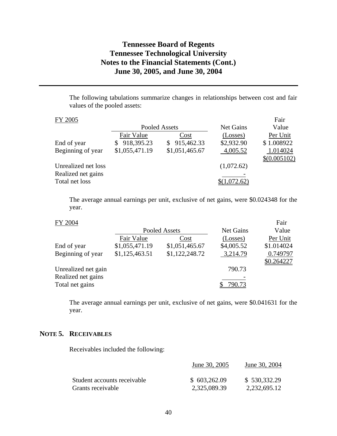The following tabulations summarize changes in relationships between cost and fair values of the pooled assets:

| FY 2005             |                 |                  |                  | Fair         |
|---------------------|-----------------|------------------|------------------|--------------|
|                     |                 | Pooled Assets    | <b>Net Gains</b> | Value        |
|                     | Fair Value      | Cost             | (Losses)         | Per Unit     |
| End of year         | 918,395.23<br>S | 915,462.33<br>S. | \$2,932.90       | \$1.008922   |
| Beginning of year   | \$1,055,471.19  | \$1,051,465.67   | 4,005.52         | 1.014024     |
|                     |                 |                  |                  | \$(0.005102) |
| Unrealized net loss |                 |                  | (1,072.62)       |              |
| Realized net gains  |                 |                  |                  |              |
| Total net loss      |                 |                  | 072.62)          |              |

The average annual earnings per unit, exclusive of net gains, were \$0.024348 for the year.

Fair

|                     |                | Pooled Assets  | <b>Net Gains</b> | Value      |
|---------------------|----------------|----------------|------------------|------------|
|                     | Fair Value     | Cost           | (Losses)         | Per Unit   |
| End of year         | \$1,055,471.19 | \$1,051,465.67 | \$4,005.52       | \$1.014024 |
| Beginning of year   | \$1,125,463.51 | \$1,122,248.72 | 3,214.79         | 0.749797   |
|                     |                |                |                  | \$0.264227 |
| Unrealized net gain |                |                | 790.73           |            |
| Realized net gains  |                |                |                  |            |
| Total net gains     |                |                | 790.73           |            |
|                     |                |                |                  |            |

The average annual earnings per unit, exclusive of net gains, were \$0.041631 for the year.

## **NOTE 5. RECEIVABLES**

Receivables included the following:

|                             | June 30, 2005 | June 30, 2004 |
|-----------------------------|---------------|---------------|
| Student accounts receivable | \$603,262.09  | \$530,332.29  |
| Grants receivable           | 2,325,089.39  | 2,232,695.12  |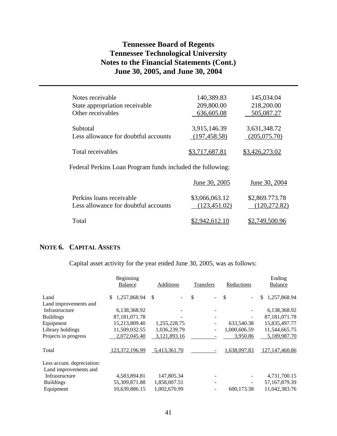| Notes receivable                                           | 140,389.83     | 145,034.04     |  |  |  |  |
|------------------------------------------------------------|----------------|----------------|--|--|--|--|
| State appropriation receivable                             | 209,800.00     | 218,200.00     |  |  |  |  |
| Other receivables                                          | 636,605.08     | 505,087.27     |  |  |  |  |
| Subtotal                                                   | 3,915,146.39   | 3,631,348.72   |  |  |  |  |
| Less allowance for doubtful accounts                       | (197, 458.58)  | (205,075.70)   |  |  |  |  |
| Total receivables                                          | \$3,717,687.81 | \$3,426,273.02 |  |  |  |  |
| Federal Perkins Loan Program funds included the following: |                |                |  |  |  |  |

|                                                                  | June 30, 2005                   | June 30, 2004                   |
|------------------------------------------------------------------|---------------------------------|---------------------------------|
| Perkins loans receivable<br>Less allowance for doubtful accounts | \$3,066,063.12<br>(123, 451.02) | \$2,869.773.78<br>(120, 272.82) |
| Total                                                            | \$2,942,612.10                  | \$2,749,500.96                  |

## **NOTE 6. CAPITAL ASSETS**

Capital asset activity for the year ended June 30, 2005, was as follows:

|                           | Beginning<br><b>Balance</b> | Additions    | <b>Transfers</b>               | Reductions         | Ending<br><b>Balance</b> |
|---------------------------|-----------------------------|--------------|--------------------------------|--------------------|--------------------------|
| Land                      | 1,257,868.94<br>\$.         | \$           | \$<br>$\overline{\phantom{a}}$ | <sup>\$</sup><br>۰ | 1,257,868.94<br>\$       |
| Land improvements and     |                             |              |                                |                    |                          |
| Infrastructure            | 6,138,368.92                |              |                                |                    | 6,138,368.92             |
| <b>Buildings</b>          | 87, 181, 071. 78            |              |                                | ۰                  | 87, 181, 071. 78         |
| Equipment                 | 15,213,809.40               | 1,255,228.75 |                                | 633,540.38         | 15,835,497.77            |
| Library holdings          | 11,509,032.55               | 1,036,239.79 |                                | 1,000,606.59       | 11,544,665.75            |
| Projects in progress      | 2,072,045.40                | 3,121,893.16 |                                | 3,950.86           | 5,189,987.70             |
| Total                     | 123,372,196.99              | 5,413,361.70 |                                | 1,638,097.83       | 127, 147, 460.86         |
| Less accum. depreciation: |                             |              |                                |                    |                          |
| Land improvements and     |                             |              |                                |                    |                          |
| Infrastructure            | 4,583,894.81                | 147,805.34   |                                |                    | 4,731,700.15             |
| <b>Buildings</b>          | 55,309,871.88               | 1,858,007.51 |                                |                    | 57, 167, 879. 39         |
| Equipment                 | 10,639,886.15               | 1,002,670.99 |                                | 600.173.38         | 11,042,383.76            |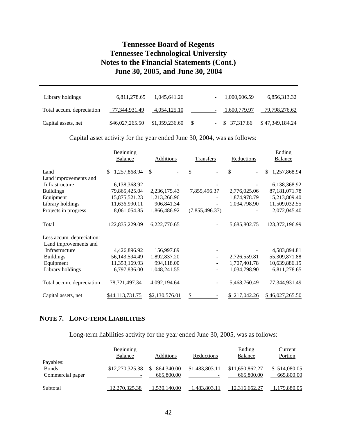| Library holdings          | 6,811,278.65    | 1,045,641.26   |        | 1,000,606.59 | 6,856,313.32           |
|---------------------------|-----------------|----------------|--------|--------------|------------------------|
| Total accum. depreciation | 77,344,931.49   | 4,054,125.10   | $\sim$ | 1,600,779.97 | 79,798,276.62          |
| Capital assets, net       | \$46,027,265.50 | \$1,359,236.60 |        | \$ 37.317.86 | <u>\$47,349,184.24</u> |

Capital asset activity for the year ended June 30, 2004, was as follows:

|                           | Beginning<br><b>Balance</b> | Additions      | Transfers                | Reductions    | Ending<br><b>Balance</b> |
|---------------------------|-----------------------------|----------------|--------------------------|---------------|--------------------------|
| Land                      | 1,257,868.94<br>\$.         | \$             | \$                       | \$            | \$<br>1,257,868.94       |
| Land improvements and     |                             |                |                          |               |                          |
| Infrastructure            | 6,138,368.92                |                |                          |               | 6,138,368.92             |
| <b>Buildings</b>          | 79,865,425.04               | 2,236,175.43   | 7,855,496.37             | 2,776,025.06  | 87,181,071.78            |
| Equipment                 | 15,875,521.23               | 1,213,266.96   |                          | 1,874,978.79  | 15,213,809.40            |
| Library holdings          | 11,636,990.11               | 906,841.34     |                          | 1,034,798.90  | 11,509,032.55            |
| Projects in progress      | 8,061,054.85                | 1,866,486.92   | (7,855,496.37)           |               | 2,072,045.40             |
| Total                     | 122,835,229.09              | 6,222,770.65   |                          | 5,685,802.75  | 123, 372, 196. 99        |
| Less accum. depreciation: |                             |                |                          |               |                          |
| Land improvements and     |                             |                |                          |               |                          |
| Infrastructure            | 4,426,896.92                | 156,997.89     |                          |               | 4,583,894.81             |
| <b>Buildings</b>          | 56,143,594.49               | 1,892,837.20   | $\overline{\phantom{0}}$ | 2,726,559.81  | 55,309,871.88            |
| Equipment                 | 11,353,169.93               | 994,118.00     |                          | 1,707,401.78  | 10,639,886.15            |
| Library holdings          | 6,797,836.00                | 1,048,241.55   |                          | 1,034,798.90  | 6,811,278.65             |
| Total accum. depreciation | 78,721,497.34               | 4,092,194.64   |                          | 5,468,760.49  | 77,344,931.49            |
| Capital assets, net       | <u>\$44,113,731.75</u>      | \$2,130,576.01 | \$                       | \$ 217,042.26 | \$46,027,265.50          |

## **NOTE 7. LONG-TERM LIABILITIES**

Long-term liabilities activity for the year ended June 30, 2005, was as follows:

|                                               | <b>Beginning</b><br>Balance | Additions                      | Reductions                                 | Ending<br>Balance             | Current<br>Portion         |
|-----------------------------------------------|-----------------------------|--------------------------------|--------------------------------------------|-------------------------------|----------------------------|
| Payables:<br><b>Bonds</b><br>Commercial paper | \$12,270,325.38             | 864,340.00<br>S.<br>665,800.00 | \$1,483,803.11<br>$\overline{\phantom{a}}$ | \$11,650,862.27<br>665,800.00 | \$514,080.05<br>665,800.00 |
| Subtotal                                      | 12,270,325.38               | 1,530,140.00                   | 1,483,803.11                               | 12,316,662.27                 | 1,179,880.05               |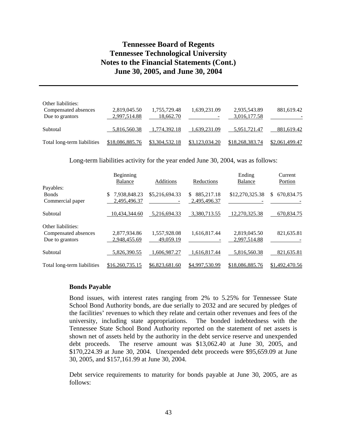| Other liabilities:<br>Compensated absences<br>Due to grantors | 2,819,045.50<br>2,997,514.88 | 1,755,729.48<br>18,662.70 | 1,639,231.09   | 2,935,543.89<br>3,016,177.58 | 881,619.42     |
|---------------------------------------------------------------|------------------------------|---------------------------|----------------|------------------------------|----------------|
| Subtotal                                                      | 5,816,560.38                 | 1,774,392.18              | 1,639,231.09   | 5,951,721.47                 | 881,619.42     |
| Total long-term liabilities                                   | \$18,086,885.76              | \$3,304,532.18            | \$3,123,034.20 | \$18,268,383.74              | \$2,061,499.47 |

Long-term liabilities activity for the year ended June 30, 2004, was as follows:

|                             | Beginning<br><b>Balance</b> | Additions      | Reductions        | Ending<br>Balance | Current<br>Portion |
|-----------------------------|-----------------------------|----------------|-------------------|-------------------|--------------------|
| Payables:                   |                             |                |                   |                   |                    |
| <b>Bonds</b>                | 7.938.848.23                | \$5,216,694.33 | 885,217.18<br>\$. | \$12,270,325.38   | 670,834.75<br>\$   |
| Commercial paper            | 2,495,496.37                |                | 2,495,496.37      |                   |                    |
| Subtotal                    | 10.434.344.60               | 5,216,694.33   | 3,380,713.55      | 12.270.325.38     | 670,834.75         |
| Other liabilities:          |                             |                |                   |                   |                    |
| Compensated absences        | 2,877,934.86                | 1,557,928.08   | 1,616,817.44      | 2,819,045.50      | 821,635.81         |
| Due to grantors             | 2.948.455.69                | 49,059.19      |                   | 2,997,514.88      |                    |
| Subtotal                    | 5.826.390.55                | 1.606.987.27   | 1.616.817.44      | 5.816.560.38      | 821,635.81         |
| Total long-term liabilities | \$16,260,735.15             | \$6,823,681.60 | \$4,997,530.99    | \$18,086,885.76   | \$1,492,470.56     |

#### **Bonds Payable**

Bond issues, with interest rates ranging from 2% to 5.25% for Tennessee State School Bond Authority bonds, are due serially to 2032 and are secured by pledges of the facilities' revenues to which they relate and certain other revenues and fees of the university, including state appropriations. The bonded indebtedness with the Tennessee State School Bond Authority reported on the statement of net assets is shown net of assets held by the authority in the debt service reserve and unexpended debt proceeds. The reserve amount was \$13,062.40 at June 30, 2005, and \$170,224.39 at June 30, 2004. Unexpended debt proceeds were \$95,659.09 at June 30, 2005, and \$157,161.99 at June 30, 2004.

Debt service requirements to maturity for bonds payable at June 30, 2005, are as follows: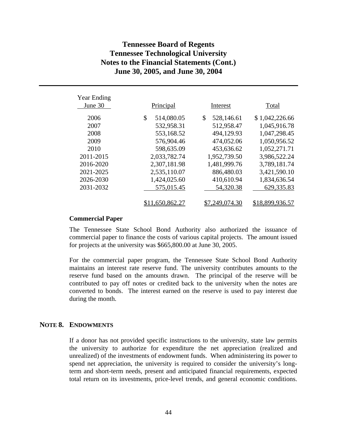| Year Ending<br>June 30 | Principal        | Interest         | Total           |
|------------------------|------------------|------------------|-----------------|
| 2006                   | 514,080.05<br>\$ | 528,146.61<br>\$ | \$1,042,226.66  |
| 2007                   | 532,958.31       | 512,958.47       | 1,045,916.78    |
| 2008                   | 553,168.52       | 494,129.93       | 1,047,298.45    |
| 2009                   | 576,904.46       | 474,052.06       | 1,050,956.52    |
| 2010                   | 598,635.09       | 453,636.62       | 1,052,271.71    |
| 2011-2015              | 2,033,782.74     | 1,952,739.50     | 3,986,522.24    |
| 2016-2020              | 2,307,181.98     | 1,481,999.76     | 3,789,181.74    |
| 2021-2025              | 2,535,110.07     | 886,480.03       | 3,421,590.10    |
| 2026-2030              | 1,424,025.60     | 410,610.94       | 1,834,636.54    |
| 2031-2032              | 575,015.45       | 54,320.38        | 629,335.83      |
|                        | \$11,650,862.27  | \$7,249,074.30   | \$18,899,936.57 |

#### **Commercial Paper**

The Tennessee State School Bond Authority also authorized the issuance of commercial paper to finance the costs of various capital projects. The amount issued for projects at the university was \$665,800.00 at June 30, 2005.

For the commercial paper program, the Tennessee State School Bond Authority maintains an interest rate reserve fund. The university contributes amounts to the reserve fund based on the amounts drawn. The principal of the reserve will be contributed to pay off notes or credited back to the university when the notes are converted to bonds. The interest earned on the reserve is used to pay interest due during the month.

#### **NOTE 8. ENDOWMENTS**

If a donor has not provided specific instructions to the university, state law permits the university to authorize for expenditure the net appreciation (realized and unrealized) of the investments of endowment funds. When administering its power to spend net appreciation, the university is required to consider the university's longterm and short-term needs, present and anticipated financial requirements, expected total return on its investments, price-level trends, and general economic conditions.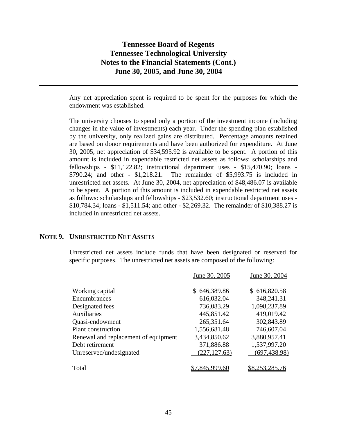Any net appreciation spent is required to be spent for the purposes for which the endowment was established.

The university chooses to spend only a portion of the investment income (including changes in the value of investments) each year. Under the spending plan established by the university, only realized gains are distributed. Percentage amounts retained are based on donor requirements and have been authorized for expenditure. At June 30, 2005, net appreciation of \$34,595.92 is available to be spent. A portion of this amount is included in expendable restricted net assets as follows: scholarships and fellowships - \$11,122.82; instructional department uses - \$15,470.90; loans - \$790.24; and other - \$1,218.21. The remainder of \$5,993.75 is included in unrestricted net assets. At June 30, 2004, net appreciation of \$48,486.07 is available to be spent. A portion of this amount is included in expendable restricted net assets as follows: scholarships and fellowships - \$23,532.60; instructional department uses - \$10,784.34; loans - \$1,511.54; and other - \$2,269.32. The remainder of \$10,388.27 is included in unrestricted net assets.

#### **NOTE 9. UNRESTRICTED NET ASSETS**

Unrestricted net assets include funds that have been designated or reserved for specific purposes. The unrestricted net assets are composed of the following:

|                                      | June 30, 2005    | June 30, 2004  |
|--------------------------------------|------------------|----------------|
| Working capital                      | 646,389.86<br>S. | \$616,820.58   |
| Encumbrances                         | 616,032.04       | 348,241.31     |
| Designated fees                      | 736,083.29       | 1,098,237.89   |
| Auxiliaries                          | 445,851.42       | 419,019.42     |
| Quasi-endowment                      | 265,351.64       | 302,843.89     |
| <b>Plant construction</b>            | 1,556,681.48     | 746,607.04     |
| Renewal and replacement of equipment | 3,434,850.62     | 3,880,957.41   |
| Debt retirement                      | 371,886.88       | 1,537,997.20   |
| Unreserved/undesignated              | (227, 127.63)    | (697, 438.98)  |
|                                      |                  |                |
| Total                                | 845,999.60       | \$8,253,285.76 |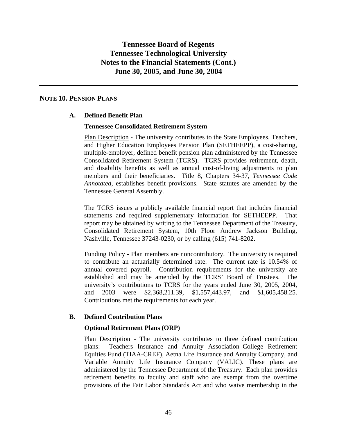#### **NOTE 10. PENSION PLANS**

## **A. Defined Benefit Plan**

#### **Tennessee Consolidated Retirement System**

Plan Description - The university contributes to the State Employees, Teachers, and Higher Education Employees Pension Plan (SETHEEPP), a cost-sharing, multiple-employer, defined benefit pension plan administered by the Tennessee Consolidated Retirement System (TCRS). TCRS provides retirement, death, and disability benefits as well as annual cost-of-living adjustments to plan members and their beneficiaries. Title 8, Chapters 34-37, *Tennessee Code Annotated,* establishes benefit provisions. State statutes are amended by the Tennessee General Assembly.

The TCRS issues a publicly available financial report that includes financial statements and required supplementary information for SETHEEPP. That report may be obtained by writing to the Tennessee Department of the Treasury, Consolidated Retirement System, 10th Floor Andrew Jackson Building, Nashville, Tennessee 37243-0230, or by calling (615) 741-8202.

Funding Policy - Plan members are noncontributory. The university is required to contribute an actuarially determined rate. The current rate is 10.54% of annual covered payroll. Contribution requirements for the university are established and may be amended by the TCRS' Board of Trustees. The university's contributions to TCRS for the years ended June 30, 2005, 2004, and 2003 were \$2,368,211.39, \$1,557,443.97, and \$1,605,458.25. Contributions met the requirements for each year.

#### **B. Defined Contribution Plans**

#### **Optional Retirement Plans (ORP)**

Plan Description - The university contributes to three defined contribution plans: Teachers Insurance and Annuity Association–College Retirement Equities Fund (TIAA-CREF), Aetna Life Insurance and Annuity Company, and Variable Annuity Life Insurance Company (VALIC). These plans are administered by the Tennessee Department of the Treasury. Each plan provides retirement benefits to faculty and staff who are exempt from the overtime provisions of the Fair Labor Standards Act and who waive membership in the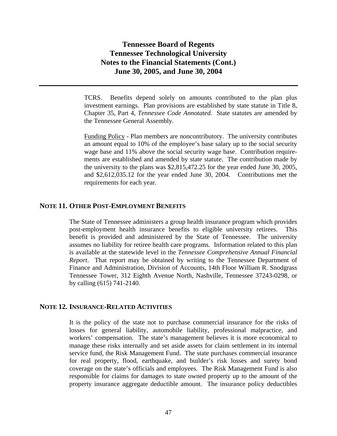TCRS. Benefits depend solely on amounts contributed to the plan plus investment earnings. Plan provisions are established by state statute in Title 8, Chapter 35, Part 4, *Tennessee Code Annotated.* State statutes are amended by the Tennessee General Assembly.

Funding Policy - Plan members are noncontributory. The university contributes an amount equal to 10% of the employee's base salary up to the social security wage base and 11% above the social security wage base. Contribution requirements are established and amended by state statute. The contribution made by the university to the plans was \$2,815,472.25 for the year ended June 30, 2005, and \$2,612,035.12 for the year ended June 30, 2004. Contributions met the requirements for each year.

#### **NOTE 11. OTHER POST-EMPLOYMENT BENEFITS**

The State of Tennessee administers a group health insurance program which provides post-employment health insurance benefits to eligible university retirees. This benefit is provided and administered by the State of Tennessee. The university assumes no liability for retiree health care programs. Information related to this plan is available at the statewide level in the *Tennessee Comprehensive Annual Financial Report*. That report may be obtained by writing to the Tennessee Department of Finance and Administration, Division of Accounts, 14th Floor William R. Snodgrass Tennessee Tower, 312 Eighth Avenue North, Nashville, Tennessee 37243-0298, or by calling (615) 741-2140.

#### **NOTE 12. INSURANCE-RELATED ACTIVITIES**

It is the policy of the state not to purchase commercial insurance for the risks of losses for general liability, automobile liability, professional malpractice, and workers' compensation. The state's management believes it is more economical to manage these risks internally and set aside assets for claim settlement in its internal service fund, the Risk Management Fund. The state purchases commercial insurance for real property, flood, earthquake, and builder's risk losses and surety bond coverage on the state's officials and employees. The Risk Management Fund is also responsible for claims for damages to state owned property up to the amount of the property insurance aggregate deductible amount. The insurance policy deductibles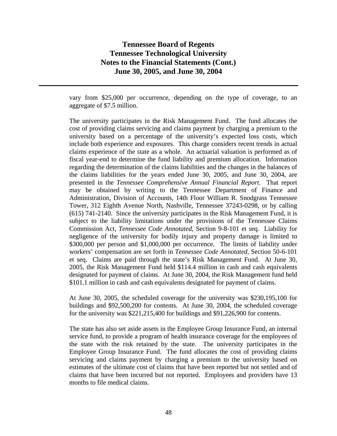vary from \$25,000 per occurrence, depending on the type of coverage, to an aggregate of \$7.5 million.

The university participates in the Risk Management Fund. The fund allocates the cost of providing claims servicing and claims payment by charging a premium to the university based on a percentage of the university's expected loss costs, which include both experience and exposures. This charge considers recent trends in actual claims experience of the state as a whole. An actuarial valuation is performed as of fiscal year-end to determine the fund liability and premium allocation. Information regarding the determination of the claims liabilities and the changes in the balances of the claims liabilities for the years ended June 30, 2005, and June 30, 2004, are presented in the *Tennessee Comprehensive Annual Financial Report*. That report may be obtained by writing to the Tennessee Department of Finance and Administration, Division of Accounts, 14th Floor William R. Snodgrass Tennessee Tower, 312 Eighth Avenue North, Nashville, Tennessee 37243-0298, or by calling (615) 741-2140. Since the university participates in the Risk Management Fund, it is subject to the liability limitations under the provisions of the Tennessee Claims Commission Act, *Tennessee Code Annotated,* Section 9-8-101 et seq. Liability for negligence of the university for bodily injury and property damage is limited to \$300,000 per person and \$1,000,000 per occurrence. The limits of liability under workers' compensation are set forth in *Tennessee Code Annotated,* Section 50-6-101 et seq. Claims are paid through the state's Risk Management Fund. At June 30, 2005, the Risk Management Fund held \$114.4 million in cash and cash equivalents designated for payment of claims. At June 30, 2004, the Risk Management fund held \$101.1 million in cash and cash equivalents designated for payment of claims.

At June 30, 2005, the scheduled coverage for the university was \$230,195,100 for buildings and \$92,500,200 for contents. At June 30, 2004, the scheduled coverage for the university was \$221,215,400 for buildings and \$91,226,900 for contents.

The state has also set aside assets in the Employee Group Insurance Fund, an internal service fund, to provide a program of health insurance coverage for the employees of the state with the risk retained by the state. The university participates in the Employee Group Insurance Fund. The fund allocates the cost of providing claims servicing and claims payment by charging a premium to the university based on estimates of the ultimate cost of claims that have been reported but not settled and of claims that have been incurred but not reported. Employees and providers have 13 months to file medical claims.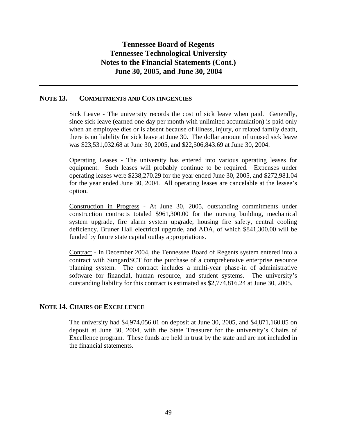#### **NOTE 13. COMMITMENTS AND CONTINGENCIES**

Sick Leave - The university records the cost of sick leave when paid. Generally, since sick leave (earned one day per month with unlimited accumulation) is paid only when an employee dies or is absent because of illness, injury, or related family death, there is no liability for sick leave at June 30. The dollar amount of unused sick leave was \$23,531,032.68 at June 30, 2005, and \$22,506,843.69 at June 30, 2004.

Operating Leases - The university has entered into various operating leases for equipment. Such leases will probably continue to be required. Expenses under operating leases were \$238,270.29 for the year ended June 30, 2005, and \$272,981.04 for the year ended June 30, 2004. All operating leases are cancelable at the lessee's option.

Construction in Progress - At June 30, 2005, outstanding commitments under construction contracts totaled \$961,300.00 for the nursing building, mechanical system upgrade, fire alarm system upgrade, housing fire safety, central cooling deficiency, Bruner Hall electrical upgrade, and ADA, of which \$841,300.00 will be funded by future state capital outlay appropriations.

Contract - In December 2004, the Tennessee Board of Regents system entered into a contract with SungardSCT for the purchase of a comprehensive enterprise resource planning system. The contract includes a multi-year phase-in of administrative software for financial, human resource, and student systems. The university's outstanding liability for this contract is estimated as \$2,774,816.24 at June 30, 2005.

### **NOTE 14. CHAIRS OF EXCELLENCE**

The university had \$4,974,056.01 on deposit at June 30, 2005, and \$4,871,160.85 on deposit at June 30, 2004, with the State Treasurer for the university's Chairs of Excellence program. These funds are held in trust by the state and are not included in the financial statements.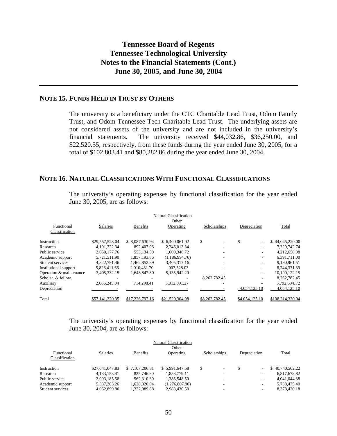## **NOTE 15. FUNDS HELD IN TRUST BY OTHERS**

The university is a beneficiary under the CTC Charitable Lead Trust, Odom Family Trust, and Odom Tennessee Tech Charitable Lead Trust. The underlying assets are not considered assets of the university and are not included in the university's financial statements. The university received \$44,032.86, \$36,250.00, and \$22,520.55, respectively, from these funds during the year ended June 30, 2005, for a total of \$102,803.41 and \$80,282.86 during the year ended June 30, 2004.

### **NOTE 16. NATURAL CLASSIFICATIONS WITH FUNCTIONAL CLASSIFICATIONS**

|                         |                 |                 | <b>Natural Classification</b><br>Other |                |                               |                  |
|-------------------------|-----------------|-----------------|----------------------------------------|----------------|-------------------------------|------------------|
| Functional              | Salaries        | <b>Benefits</b> | Operating                              | Scholarships   | Depreciation                  | Total            |
| Classification          |                 |                 |                                        |                |                               |                  |
| Instruction             | \$29,557,528.04 | \$8.087.630.94  | \$ 6.400,061.02                        | \$             | S<br>$\overline{\phantom{a}}$ | \$44,045,220.00  |
| Research                | 4,191,322.34    | 892,407.06      | 2.246.013.34                           |                |                               | 7,329,742.74     |
| Public service          | 2.050.177.76    | 553.134.50      | 1,609,346.72                           |                |                               | 4,212,658.98     |
| Academic support        | 5,721,511.90    | 1,857,193.86    | (1,186,994.76)                         |                |                               | 6,391,711.00     |
| Student services        | 4,322,791.46    | 1,462,852.89    | 3,405,317.16                           |                |                               | 9,190,961.51     |
| Institutional support   | 5,826,411.66    | 2,010,431.70    | 907,528.03                             |                |                               | 8,744,371.39     |
| Operation & maintenance | 3,405,332.15    | 1,648,847.80    | 5,135,942.20                           |                | $\overline{\phantom{a}}$      | 10,190,122.15    |
| Scholar. & fellow.      |                 |                 |                                        | 8.262.782.45   |                               | 8,262,782.45     |
| Auxiliary               | 2,066,245.04    | 714.298.41      | 3,012,091.27                           |                |                               | 5,792,634.72     |
| Depreciation            |                 |                 |                                        |                | 4,054,125.10                  | 4,054,125.10     |
| Total                   | \$57,141,320.35 | \$17,226,797.16 | \$21,529,304.98                        | \$8,262,782.45 | \$4,054,125.10                | \$108,214,330.04 |
|                         |                 |                 |                                        |                |                               |                  |

The university's operating expenses by functional classification for the year ended June 30, 2005, are as follows:

The university's operating expenses by functional classification for the year ended June 30, 2004, are as follows:

|                  |                 |                 | Natural Classification |                          |                          |                 |
|------------------|-----------------|-----------------|------------------------|--------------------------|--------------------------|-----------------|
|                  |                 |                 | Other                  |                          |                          |                 |
| Functional       | <b>Salaries</b> | <b>Benefits</b> | Operating              | Scholarships             | Depreciation             | Total           |
| Classification   |                 |                 |                        |                          |                          |                 |
| Instruction      | \$27,641,647.83 | \$7,107,206.81  | \$5,991,647.58         | \$<br>$\sim$             | $\sim$                   | \$40.740.502.22 |
| Research         | 4.133.153.41    | 825,746.30      | 1.858.779.11           | $\overline{\phantom{a}}$ | $\overline{\phantom{a}}$ | 6,817,678.82    |
| Public service   | 2.093.185.58    | 562,310.30      | 1.385.548.50           | ۰                        | $\overline{\phantom{a}}$ | 4.041.044.38    |
| Academic support | 5.387.263.26    | 1.628.020.04    | (1.276.807.90)         |                          | $\overline{\phantom{a}}$ | 5.738.475.40    |
| Student services | 4.062.899.80    | 1.332.089.88    | 2.983.430.50           | $\overline{\phantom{a}}$ | $\overline{\phantom{a}}$ | 8.378.420.18    |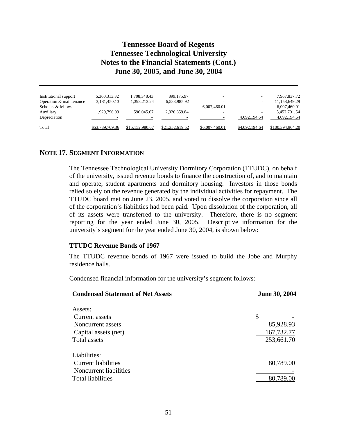| Institutional support   | 5,360,313.32    | 1,708,348.43    | 899,175.97               |                |                          | 7,967,837.72     |
|-------------------------|-----------------|-----------------|--------------------------|----------------|--------------------------|------------------|
| Operation & maintenance | 3,181,450.13    | 1,393,213.24    | 6,583,985.92             |                |                          | 11,158,649.29    |
| Scholar, & fellow.      | -               |                 | $\overline{\phantom{a}}$ | 6,007,460.01   | $\overline{\phantom{a}}$ | 6,007,460.01     |
| Auxiliary               | 1,929,796.03    | 596,045.67      | 2.926.859.84             |                |                          | 5,452,701.54     |
| Depreciation            |                 |                 |                          |                | 4.092.194.64             | 4.092.194.64     |
|                         |                 |                 |                          |                |                          |                  |
| Total                   | \$53,789,709.36 | \$15,152,980.67 | \$21,352,619.52          | \$6,007,460.01 | \$4,092,194.64           | \$100,394,964.20 |

#### **NOTE 17. SEGMENT INFORMATION**

The Tennessee Technological University Dormitory Corporation (TTUDC), on behalf of the university, issued revenue bonds to finance the construction of, and to maintain and operate, student apartments and dormitory housing. Investors in those bonds relied solely on the revenue generated by the individual activities for repayment. The TTUDC board met on June 23, 2005, and voted to dissolve the corporation since all of the corporation's liabilities had been paid. Upon dissolution of the corporation, all of its assets were transferred to the university. Therefore, there is no segment reporting for the year ended June 30, 2005. Descriptive information for the university's segment for the year ended June 30, 2004, is shown below:

#### **TTUDC Revenue Bonds of 1967**

The TTUDC revenue bonds of 1967 were issued to build the Jobe and Murphy residence halls.

Condensed financial information for the university's segment follows:

| <b>Condensed Statement of Net Assets</b> | <b>June 30, 2004</b> |  |  |  |
|------------------------------------------|----------------------|--|--|--|
| Assets:                                  |                      |  |  |  |
| Current assets                           | \$                   |  |  |  |
| Noncurrent assets                        | 85,928.93            |  |  |  |
| Capital assets (net)                     | 167,732.77           |  |  |  |
| Total assets                             | 253,661.70           |  |  |  |
| Liabilities:                             |                      |  |  |  |
| <b>Current liabilities</b>               | 80,789.00            |  |  |  |
| Noncurrent liabilities                   |                      |  |  |  |
| <b>Total liabilities</b>                 | 80,789.00            |  |  |  |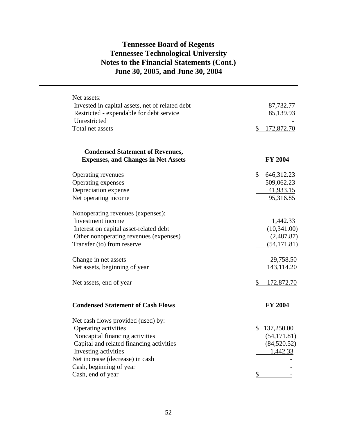| Net assets:                                     |                         |
|-------------------------------------------------|-------------------------|
| Invested in capital assets, net of related debt | 87,732.77               |
| Restricted - expendable for debt service        | 85,139.93               |
| Unrestricted                                    |                         |
| Total net assets                                | \$<br>172,872.70        |
|                                                 |                         |
| <b>Condensed Statement of Revenues,</b>         |                         |
| <b>Expenses, and Changes in Net Assets</b>      | <b>FY 2004</b>          |
| Operating revenues                              | \$<br>646,312.23        |
| Operating expenses                              | 509,062.23              |
| Depreciation expense                            | 41,933.15               |
| Net operating income                            | 95,316.85               |
| Nonoperating revenues (expenses):               |                         |
| Investment income                               | 1,442.33                |
| Interest on capital asset-related debt          | (10,341.00)             |
| Other nonoperating revenues (expenses)          | (2,487.87)              |
| Transfer (to) from reserve                      | (54, 171.81)            |
| Change in net assets                            | 29,758.50               |
| Net assets, beginning of year                   | <u>143,114.20</u>       |
| Net assets, end of year                         | \$<br>172,872.70        |
| <b>Condensed Statement of Cash Flows</b>        | <b>FY 2004</b>          |
| Net cash flows provided (used) by:              |                         |
| Operating activities                            | \$<br>137,250.00        |
| Noncapital financing activities                 | (54, 171.81)            |
| Capital and related financing activities        | (84,520.52)             |
| Investing activities                            | 1,442.33                |
| Net increase (decrease) in cash                 |                         |
| Cash, beginning of year                         |                         |
| Cash, end of year                               | $\overline{\mathbb{S}}$ |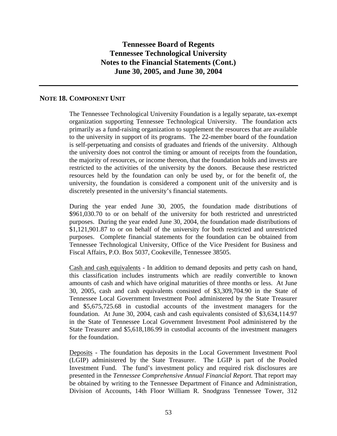#### **NOTE 18. COMPONENT UNIT**

The Tennessee Technological University Foundation is a legally separate, tax-exempt organization supporting Tennessee Technological University. The foundation acts primarily as a fund-raising organization to supplement the resources that are available to the university in support of its programs. The 22-member board of the foundation is self-perpetuating and consists of graduates and friends of the university. Although the university does not control the timing or amount of receipts from the foundation, the majority of resources, or income thereon, that the foundation holds and invests are restricted to the activities of the university by the donors. Because these restricted resources held by the foundation can only be used by, or for the benefit of, the university, the foundation is considered a component unit of the university and is discretely presented in the university's financial statements.

During the year ended June 30, 2005, the foundation made distributions of \$961,030.70 to or on behalf of the university for both restricted and unrestricted purposes. During the year ended June 30, 2004, the foundation made distributions of \$1,121,901.87 to or on behalf of the university for both restricted and unrestricted purposes. Complete financial statements for the foundation can be obtained from Tennessee Technological University, Office of the Vice President for Business and Fiscal Affairs, P.O. Box 5037, Cookeville, Tennessee 38505.

Cash and cash equivalents - In addition to demand deposits and petty cash on hand, this classification includes instruments which are readily convertible to known amounts of cash and which have original maturities of three months or less. At June 30, 2005, cash and cash equivalents consisted of \$3,309,704.90 in the State of Tennessee Local Government Investment Pool administered by the State Treasurer and \$5,675,725.68 in custodial accounts of the investment managers for the foundation. At June 30, 2004, cash and cash equivalents consisted of \$3,634,114.97 in the State of Tennessee Local Government Investment Pool administered by the State Treasurer and \$5,618,186.99 in custodial accounts of the investment managers for the foundation.

Deposits - The foundation has deposits in the Local Government Investment Pool (LGIP) administered by the State Treasurer. The LGIP is part of the Pooled Investment Fund. The fund's investment policy and required risk disclosures are presented in the *Tennessee Comprehensive Annual Financial Report.* That report may be obtained by writing to the Tennessee Department of Finance and Administration, Division of Accounts, 14th Floor William R. Snodgrass Tennessee Tower, 312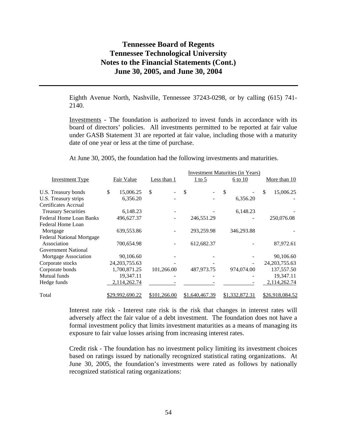Eighth Avenue North, Nashville, Tennessee 37243-0298, or by calling (615) 741- 2140.

Investments - The foundation is authorized to invest funds in accordance with its board of directors' policies. All investments permitted to be reported at fair value under GASB Statement 31 are reported at fair value, including those with a maturity date of one year or less at the time of purchase.

At June 30, 2005, the foundation had the following investments and maturities.

| <b>Investment Maturities (in Years)</b> |                        |              |                |                |                  |  |
|-----------------------------------------|------------------------|--------------|----------------|----------------|------------------|--|
| <b>Investment Type</b>                  | Fair Value             | Less than 1  | $1$ to 5       | 6 to 10        | More than 10     |  |
| U.S. Treasury bonds                     | \$<br>15,006.25        | \$           | \$             | \$             | 15,006.25<br>\$  |  |
| U.S. Treasury strips                    | 6,356.20               |              |                | 6,356.20       |                  |  |
| Certificates Accrual                    |                        |              |                |                |                  |  |
| <b>Treasury Securities</b>              | 6,148.23               |              |                | 6,148.23       |                  |  |
| Federal Home Loan Banks                 | 496,627.37             |              | 246,551.29     |                | 250,076.08       |  |
| Federal Home Loan                       |                        |              |                |                |                  |  |
| Mortgage                                | 639,553.86             |              | 293,259.98     | 346,293.88     |                  |  |
| <b>Federal National Mortgage</b>        |                        |              |                |                |                  |  |
| Association                             | 700,654.98             |              | 612,682.37     |                | 87,972.61        |  |
| <b>Government National</b>              |                        |              |                |                |                  |  |
| Mortgage Association                    | 90,106.60              |              |                |                | 90,106.60        |  |
| Corporate stocks                        | 24, 203, 755. 63       |              |                |                | 24, 203, 755. 63 |  |
| Corporate bonds                         | 1,700,871.25           | 101,266.00   | 487,973.75     | 974,074.00     | 137,557.50       |  |
| Mutual funds                            | 19,347.11              |              |                |                | 19,347.11        |  |
| Hedge funds                             | 2,114,262.74           |              |                |                | 2,114,262.74     |  |
| Total                                   | <u>\$29,992,690.22</u> | \$101,266.00 | \$1,640,467.39 | \$1,332,872.31 | \$26,918,084.52  |  |

Interest rate risk - Interest rate risk is the risk that changes in interest rates will adversely affect the fair value of a debt investment. The foundation does not have a formal investment policy that limits investment maturities as a means of managing its exposure to fair value losses arising from increasing interest rates.

Credit risk - The foundation has no investment policy limiting its investment choices based on ratings issued by nationally recognized statistical rating organizations. At June 30, 2005, the foundation's investments were rated as follows by nationally recognized statistical rating organizations: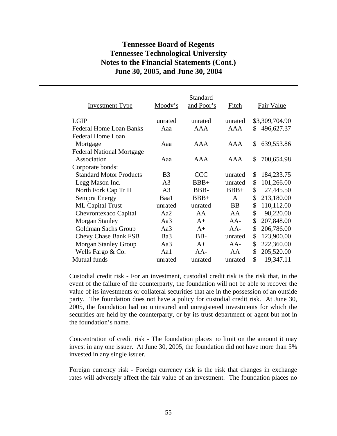| <b>Investment Type</b>           | Moody's        | Standard<br>and Poor's | Fitch        | Fair Value         |
|----------------------------------|----------------|------------------------|--------------|--------------------|
| <b>LGIP</b>                      | unrated        | unrated                | unrated      | \$3,309,704.90     |
| <b>Federal Home Loan Banks</b>   | Aaa            | <b>AAA</b>             | AAA          | \$<br>496,627.37   |
| Federal Home Loan                |                |                        |              |                    |
| Mortgage                         | Aaa            | AAA                    | AAA          | \$<br>639,553.86   |
| <b>Federal National Mortgage</b> |                |                        |              |                    |
| Association                      | Aaa            | AAA                    | AAA          | \$<br>700,654.98   |
| Corporate bonds:                 |                |                        |              |                    |
| <b>Standard Motor Products</b>   | B <sub>3</sub> | <b>CCC</b>             | unrated      | \$<br>184, 233. 75 |
| Legg Mason Inc.                  | A <sub>3</sub> | $BBB+$                 | unrated      | \$<br>101,266.00   |
| North Fork Cap Tr II             | A <sub>3</sub> | BBB-                   | $BBB+$       | \$<br>27,445.50    |
| Sempra Energy                    | Baa1           | $BBB+$                 | $\mathsf{A}$ | \$<br>213,180.00   |
| <b>ML Capital Trust</b>          | unrated        | unrated                | <b>BB</b>    | \$<br>110,112.00   |
| Chevrontexaco Capital            | Aa2            | AA                     | AA           | \$<br>98,220.00    |
| <b>Morgan Stanley</b>            | Aa3            | $A+$                   | $AA-$        | \$<br>207,848.00   |
| Goldman Sachs Group              | Aa3            | $A+$                   | $AA-$        | \$<br>206,786.00   |
| <b>Chevy Chase Bank FSB</b>      | Ba3            | BB-                    | unrated      | \$<br>123,900.00   |
| <b>Morgan Stanley Group</b>      | Aa3            | $A+$                   | $AA-$        | \$<br>222,360.00   |
| Wells Fargo $& Co.$              | Aa1            | $AA-$                  | AA           | \$<br>205,520.00   |
| Mutual funds                     | unrated        | unrated                | unrated      | \$<br>19,347.11    |

Custodial credit risk - For an investment, custodial credit risk is the risk that, in the event of the failure of the counterparty, the foundation will not be able to recover the value of its investments or collateral securities that are in the possession of an outside party. The foundation does not have a policy for custodial credit risk. At June 30, 2005, the foundation had no uninsured and unregistered investments for which the securities are held by the counterparty, or by its trust department or agent but not in the foundation's name.

Concentration of credit risk - The foundation places no limit on the amount it may invest in any one issuer. At June 30, 2005, the foundation did not have more than 5% invested in any single issuer.

Foreign currency risk - Foreign currency risk is the risk that changes in exchange rates will adversely affect the fair value of an investment. The foundation places no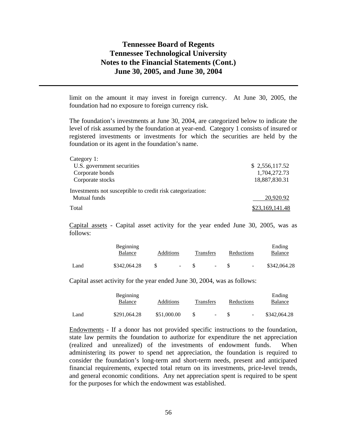limit on the amount it may invest in foreign currency. At June 30, 2005, the foundation had no exposure to foreign currency risk.

The foundation's investments at June 30, 2004, are categorized below to indicate the level of risk assumed by the foundation at year-end. Category 1 consists of insured or registered investments or investments for which the securities are held by the foundation or its agent in the foundation's name.

| Category 1:                                                |                 |
|------------------------------------------------------------|-----------------|
| U.S. government securities                                 | \$2,556,117.52  |
| Corporate bonds                                            | 1,704,272.73    |
| Corporate stocks                                           | 18,887,830.31   |
| Investments not susceptible to credit risk categorization: |                 |
| Mutual funds                                               | 20,920.92       |
| Total                                                      | \$23,169,141.48 |

Capital assets - Capital asset activity for the year ended June 30, 2005, was as follows:

|      | Beginning    |           |           |            | Ending       |
|------|--------------|-----------|-----------|------------|--------------|
|      | Balance      | Additions | Transfers | Reductions | Balance      |
| Land | \$342,064.28 | $\sim$    | $\sim$    | $\sim$     | \$342,064.28 |

Capital asset activity for the year ended June 30, 2004, was as follows:

|      | <b>Beginning</b><br>Balance | Additions   | <b>Transfers</b> |                          | Reductions |                          | Ending<br>Balance |
|------|-----------------------------|-------------|------------------|--------------------------|------------|--------------------------|-------------------|
| Land | \$291,064.28                | \$51,000.00 |                  | $\overline{\phantom{0}}$ |            | $\overline{\phantom{a}}$ | \$342,064.28      |

Endowments - If a donor has not provided specific instructions to the foundation, state law permits the foundation to authorize for expenditure the net appreciation (realized and unrealized) of the investments of endowment funds. When administering its power to spend net appreciation, the foundation is required to consider the foundation's long-term and short-term needs, present and anticipated financial requirements, expected total return on its investments, price-level trends, and general economic conditions. Any net appreciation spent is required to be spent for the purposes for which the endowment was established.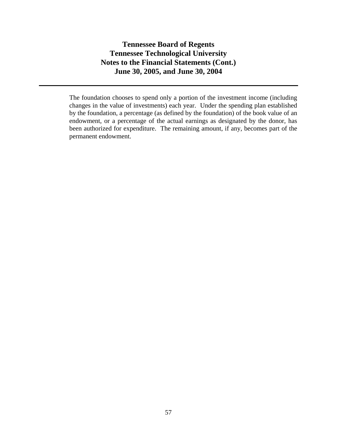The foundation chooses to spend only a portion of the investment income (including changes in the value of investments) each year. Under the spending plan established by the foundation, a percentage (as defined by the foundation) of the book value of an endowment, or a percentage of the actual earnings as designated by the donor, has been authorized for expenditure. The remaining amount, if any, becomes part of the permanent endowment.